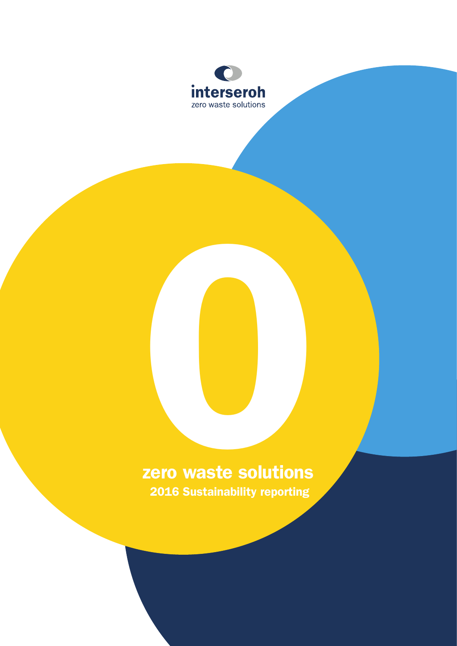

# zero waste solutions ERRETTEN<br>2016 Sustainability reporting 2016 Sustainability reporting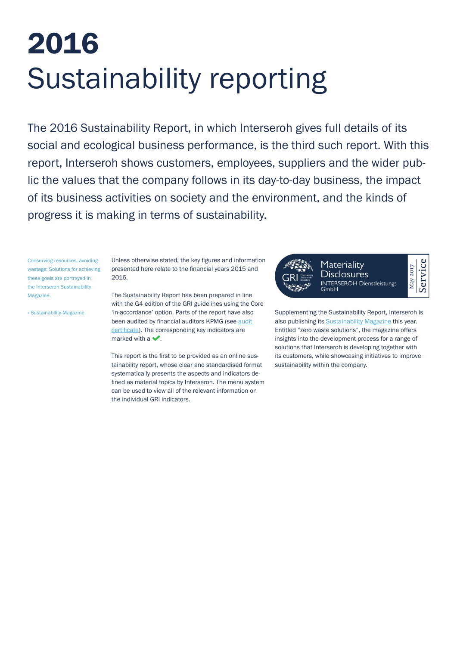# 2016 Sustainability reporting

The 2016 Sustainability Report, in which Interseroh gives full details of its social and ecological business performance, is the third such report. With this report, Interseroh shows customers, employees, suppliers and the wider public the values that the company follows in its day-to-day business, the impact of its business activities on society and the environment, and the kinds of progress it is making in terms of sustainability.

Conserving resources, avoiding wastage: Solutions for achieving these goals are portrayed in the Interseroh Sustainability Magazine.

[» Sustainability Magazine](https://www.interseroh.de/en/sustainability/sustainability-magazine/)

Unless otherwise stated, the key figures and information presented here relate to the financial years 2015 and 2016.

The Sustainability Report has been prepared in line with the G4 edition of the GRI guidelines using the Core 'in-accordance' option. Parts of the report have also been audited by financial auditors KPMG (see [audit](https://www.interseroh.de/fileadmin/PDF/Nachhaltigkeitsreporting_und_Zertifikate/Englisch/Assurance_Report_Sustainability_Report_2016.pdf)  [certificate](https://www.interseroh.de/fileadmin/PDF/Nachhaltigkeitsreporting_und_Zertifikate/Englisch/Assurance_Report_Sustainability_Report_2016.pdf)). The corresponding key indicators are marked with a  $\blacktriangleright$ .

This report is the first to be provided as an online sustainability report, whose clear and standardised format systematically presents the aspects and indicators defined as material topics by Interseroh. The menu system can be used to view all of the relevant information on the individual GRI indicators.



Supplementing the Sustainability Report, Interseroh is also publishing its [Sustainability Magazine](https://www.interseroh.de/en/sustainability/sustainability-magazine/) this year. Entitled "zero waste solutions", the magazine offers insights into the development process for a range of solutions that Interseroh is developing together with its customers, while showcasing initiatives to improve sustainability within the company.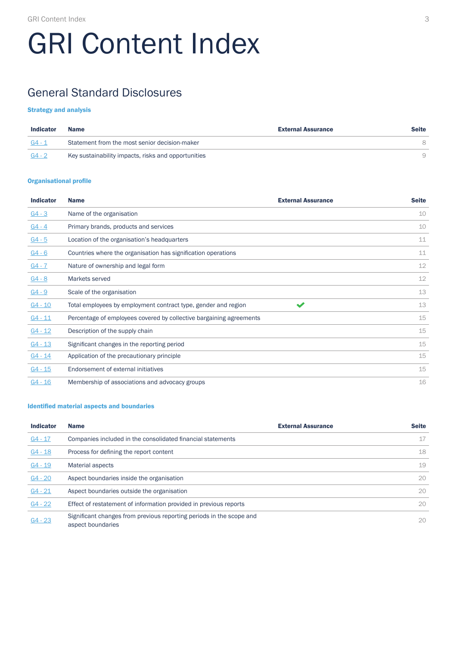# GRI Content Index

# General Standard Disclosures

#### Strategy and analysis

| <b>Indicator</b> | Name                                                | <b>External Assurance</b> | <b>Seite</b> |
|------------------|-----------------------------------------------------|---------------------------|--------------|
| - G4 - 1         | Statement from the most senior decision-maker       |                           |              |
| G4 - 2           | Key sustainability impacts, risks and opportunities |                           |              |

#### Organisational profile

| <b>Indicator</b> | <b>Name</b>                                                         | <b>External Assurance</b> | <b>Seite</b> |
|------------------|---------------------------------------------------------------------|---------------------------|--------------|
| $G4 - 3$         | Name of the organisation                                            |                           | 10           |
| $G4 - 4$         | Primary brands, products and services                               |                           | 10           |
| $G4 - 5$         | Location of the organisation's headquarters                         |                           | 11           |
| $G4 - 6$         | Countries where the organisation has signification operations       |                           | 11           |
| $G4 - 7$         | Nature of ownership and legal form                                  |                           | 12           |
| $G4 - 8$         | Markets served                                                      |                           | 12           |
| $G4 - 9$         | Scale of the organisation                                           |                           | 13           |
| $G4 - 10$        | Total employees by employment contract type, gender and region      | $\blacktriangledown$      | 13           |
| $G4 - 11$        | Percentage of employees covered by collective bargaining agreements |                           | 15           |
| $G4 - 12$        | Description of the supply chain                                     |                           | 15           |
| $G4 - 13$        | Significant changes in the reporting period                         |                           | 15           |
| $G4 - 14$        | Application of the precautionary principle                          |                           | 15           |
| $G4 - 15$        | Endorsement of external initiatives                                 |                           | 15           |
| $G4 - 16$        | Membership of associations and advocacy groups                      |                           | 16           |

#### Identified material aspects and boundaries

| <b>Indicator</b> | <b>Name</b>                                                                               | <b>External Assurance</b> | <b>Seite</b> |
|------------------|-------------------------------------------------------------------------------------------|---------------------------|--------------|
| $G4 - 17$        | Companies included in the consolidated financial statements                               |                           | 17           |
| $G4 - 18$        | Process for defining the report content                                                   |                           | 18           |
| $G4 - 19$        | Material aspects                                                                          |                           | 19           |
| $G4 - 20$        | Aspect boundaries inside the organisation                                                 |                           | 20           |
| $G4 - 21$        | Aspect boundaries outside the organisation                                                |                           | 20           |
| $G4 - 22$        | Effect of restatement of information provided in previous reports                         |                           | 20           |
| $G4 - 23$        | Significant changes from previous reporting periods in the scope and<br>aspect boundaries |                           | 20           |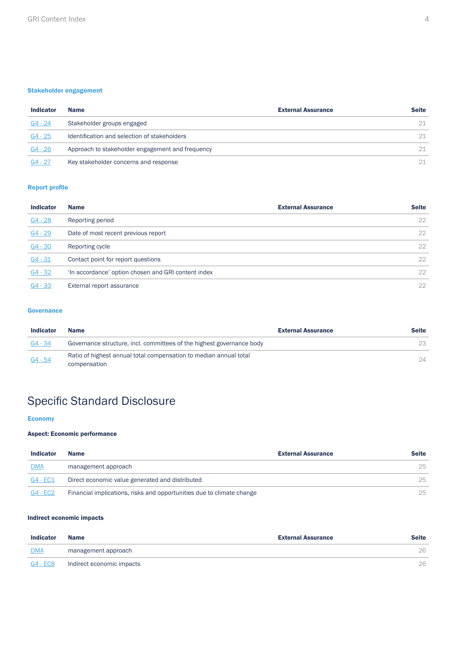#### Stakeholder engagement

| <b>Indicator</b> | <b>Name</b>                                      | <b>External Assurance</b> | <b>Seite</b> |
|------------------|--------------------------------------------------|---------------------------|--------------|
| $G4 - 24$        | Stakeholder groups engaged                       |                           | 21           |
| $G4 - 25$        | Identification and selection of stakeholders     |                           | 21           |
| $G4 - 26$        | Approach to stakeholder engagement and frequency |                           | 21           |
| $G4 - 27$        | Key stakeholder concerns and response            |                           | 21           |

#### Report profile

| <b>Indicator</b> | <b>Name</b>                                         | <b>External Assurance</b> | <b>Seite</b> |
|------------------|-----------------------------------------------------|---------------------------|--------------|
| $G4 - 28$        | Reporting period                                    |                           | 22           |
| $G4 - 29$        | Date of most recent previous report                 |                           | 22           |
| $G4 - 30$        | Reporting cycle                                     |                           | $22^{\circ}$ |
| $G4 - 31$        | Contact point for report questions                  |                           | 22           |
| $G4 - 32$        | 'In accordance' option chosen and GRI content index |                           | 22           |
| $G4 - 33$        | External report assurance                           |                           | 22           |

#### **Governance**

| <b>Indicator</b> | <b>Name</b>                                                           | <b>External Assurance</b> | <b>Seite</b> |
|------------------|-----------------------------------------------------------------------|---------------------------|--------------|
| G4 - 34          | Governance structure, incl. committees of the highest governance body |                           | 23           |
| $G4 - 54$        | Ratio of highest annual total compensation to median annual total     |                           | 24           |
|                  | compensation                                                          |                           |              |

# Specific Standard Disclosure

#### **Economy**

#### Aspect: Economic performance

| <b>Indicator</b> | <b>Name</b>                                                           | <b>External Assurance</b> | <b>Seite</b> |
|------------------|-----------------------------------------------------------------------|---------------------------|--------------|
| <b>DMA</b>       | management approach                                                   |                           | 25           |
| G4 - EC1         | Direct economic value generated and distributed                       |                           | 25           |
| $G4 - EC2$       | Financial implications, risks and opportunities due to climate change |                           | 25           |

#### Indirect economic impacts

| <b>Indicator</b> | <b>Name</b>               | <b>External Assurance</b> | <b>Seite</b> |
|------------------|---------------------------|---------------------------|--------------|
| <b>DMA</b>       | management approach       |                           | 26           |
| $G4 - ECS$       | Indirect economic impacts |                           | 26           |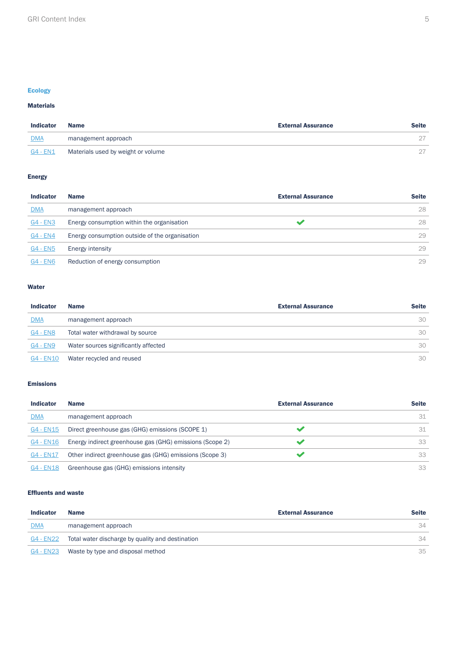#### Ecology

#### Materials

| <b>Indicator</b> | <b>Name</b>                        | <b>External Assurance</b> | <b>Seite</b> |
|------------------|------------------------------------|---------------------------|--------------|
| <b>DMA</b>       | management approach                |                           |              |
| $G4 - EN1$       | Materials used by weight or volume |                           |              |

#### Energy

| <b>Indicator</b> | <b>Name</b>                                    | <b>External Assurance</b> | <b>Seite</b> |
|------------------|------------------------------------------------|---------------------------|--------------|
| <b>DMA</b>       | management approach                            |                           | 28           |
| $G4 - EN3$       | Energy consumption within the organisation     |                           | 28           |
| G4 - EN4         | Energy consumption outside of the organisation |                           | 29           |
| <b>G4 - EN5</b>  | Energy intensity                               |                           | 29           |
| <b>G4 - EN6</b>  | Reduction of energy consumption                |                           | 29           |

#### Water

| <b>Indicator</b> | <b>Name</b>                          | <b>External Assurance</b> | <b>Seite</b> |
|------------------|--------------------------------------|---------------------------|--------------|
| <b>DMA</b>       | management approach                  |                           | 30           |
| <b>G4 - EN8</b>  | Total water withdrawal by source     |                           | 30           |
| G4 - EN9         | Water sources significantly affected |                           | 30           |
| G4 - EN10        | Water recycled and reused            |                           | 30           |

#### Emissions

| <b>Indicator</b> | <b>Name</b>                                              | <b>External Assurance</b> | <b>Seite</b> |
|------------------|----------------------------------------------------------|---------------------------|--------------|
| <b>DMA</b>       | management approach                                      |                           | 31           |
| G4 - EN15        | Direct greenhouse gas (GHG) emissions (SCOPE 1)          |                           | 31           |
| G4 - EN16        | Energy indirect greenhouse gas (GHG) emissions (Scope 2) |                           | 33           |
| G4 - EN17        | Other indirect greenhouse gas (GHG) emissions (Scope 3)  |                           | 33           |
| G4 - EN18        | Greenhouse gas (GHG) emissions intensity                 |                           | 33           |

#### Effluents and waste

| <b>Indicator</b> | <b>Name</b>                                      | <b>External Assurance</b> | <b>Seite</b> |
|------------------|--------------------------------------------------|---------------------------|--------------|
| <b>DMA</b>       | management approach                              |                           | 34           |
| G4 - EN22        | Total water discharge by quality and destination |                           | 34           |
| G4 - EN23        | Waste by type and disposal method                |                           | 35           |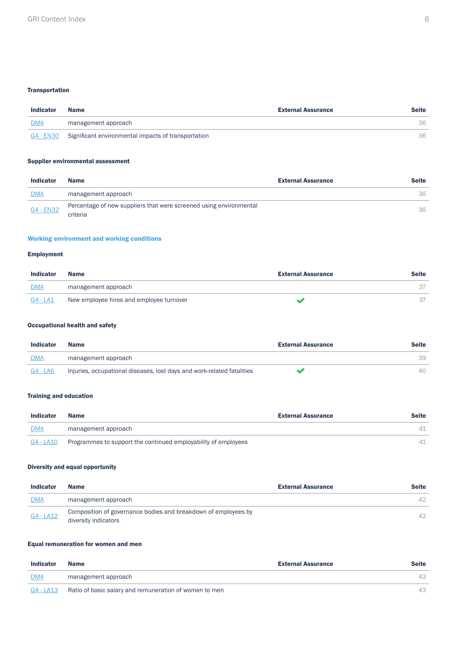#### **Transportation**

| <b>Indicator</b> | <b>Name</b>                                                   | <b>External Assurance</b> | <b>Seite</b> |
|------------------|---------------------------------------------------------------|---------------------------|--------------|
| <b>DMA</b>       | management approach                                           |                           | 36           |
|                  | G4 - EN30 Significant environmental impacts of transportation |                           | 36           |

#### Supplier environmental assessment

| <b>Indicator</b> | <b>Name</b>                                                                    | <b>External Assurance</b> | <b>Seite</b> |
|------------------|--------------------------------------------------------------------------------|---------------------------|--------------|
| <b>DMA</b>       | management approach                                                            |                           | 36           |
| <u>G4 - EN32</u> | Percentage of new suppliers that were screened using environmental<br>criteria |                           | 36           |

#### Working environment and working conditions

#### Employment

| <b>Indicator</b> | <b>Name</b>                              | <b>External Assurance</b> | <b>Seite</b> |
|------------------|------------------------------------------|---------------------------|--------------|
| <b>DMA</b>       | management approach                      |                           |              |
| G4 - LA1         | New employee hires and employee turnover |                           |              |

#### Occupational health and safety

| <b>Indicator</b> | Name                                                                   | <b>External Assurance</b> | <b>Seite</b> |
|------------------|------------------------------------------------------------------------|---------------------------|--------------|
| <b>DMA</b>       | management approach                                                    |                           | 39           |
| G4 - LA6         | Injuries, occupational diseases, lost days and work-related fatalities |                           | 40           |

#### Training and education

| <b>Indicator</b> | <b>Name</b>                                                    | <b>External Assurance</b> | <b>Seite</b> |
|------------------|----------------------------------------------------------------|---------------------------|--------------|
| <b>DMA</b>       | management approach                                            |                           |              |
| G4 - LA10        | Programmes to support the continued employability of employees |                           |              |

#### Diversity and equal opportunity

| <b>Indicator</b> | <b>Name</b>                                                                            | <b>External Assurance</b> | <b>Seite</b> |
|------------------|----------------------------------------------------------------------------------------|---------------------------|--------------|
| <b>DMA</b>       | management approach                                                                    |                           | 42           |
| G4 - LA12        | Composition of governance bodies and breakdown of employees by<br>diversity indicators |                           | 42           |

#### Equal remuneration for women and men

| <b>Indicator</b> | <b>Name</b>                                            | <b>External Assurance</b> | Seite |
|------------------|--------------------------------------------------------|---------------------------|-------|
| <b>DMA</b>       | management approach                                    |                           | 43    |
| G4 - LA13        | Ratio of basic salary and remuneration of women to men |                           |       |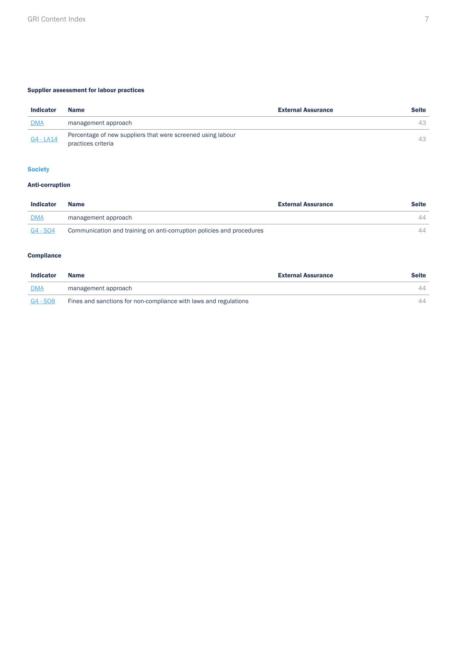#### Supplier assessment for labour practices

| <b>Indicator</b> | <b>Name</b>                                                                       | <b>External Assurance</b> | <b>Seite</b> |
|------------------|-----------------------------------------------------------------------------------|---------------------------|--------------|
| <b>DMA</b>       | management approach                                                               |                           | 43           |
| $G4 - LA14$      | Percentage of new suppliers that were screened using labour<br>practices criteria |                           | 43           |

#### **Society**

#### Anti-corruption

| <b>Indicator</b> | <b>Name</b>                                                           | <b>External Assurance</b> | <b>Seite</b> |
|------------------|-----------------------------------------------------------------------|---------------------------|--------------|
| <b>DMA</b>       | management approach                                                   |                           | 44           |
| G4 - SO4         | Communication and training on anti-corruption policies and procedures |                           |              |

#### **Compliance**

| <b>Indicator</b> | <b>Name</b>                                                      | <b>External Assurance</b> | <b>Seite</b> |
|------------------|------------------------------------------------------------------|---------------------------|--------------|
| <b>DMA</b>       | management approach                                              |                           | 44           |
| $G4 - SO8$       | Fines and sanctions for non-compliance with laws and regulations |                           | 44           |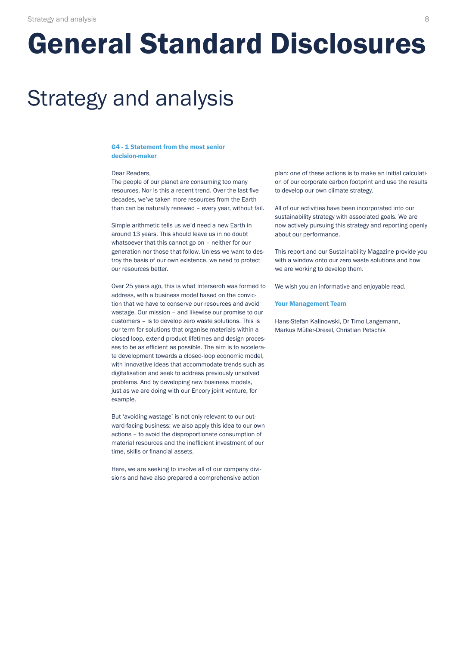# <span id="page-7-1"></span>General Standard Disclosures

# Strategy and analysis

#### <span id="page-7-0"></span>G4 - 1 Statement from the most senior decision-maker

#### Dear Readers,

The people of our planet are consuming too many resources. Nor is this a recent trend. Over the last five decades, we've taken more resources from the Earth than can be naturally renewed – every year, without fail.

Simple arithmetic tells us we'd need a new Earth in around 13 years. This should leave us in no doubt whatsoever that this cannot go on – neither for our generation nor those that follow. Unless we want to destroy the basis of our own existence, we need to protect our resources better.

Over 25 years ago, this is what Interseroh was formed to address, with a business model based on the conviction that we have to conserve our resources and avoid wastage. Our mission – and likewise our promise to our customers – is to develop zero waste solutions. This is our term for solutions that organise materials within a closed loop, extend product lifetimes and design processes to be as efficient as possible. The aim is to accelerate development towards a closed-loop economic model, with innovative ideas that accommodate trends such as digitalisation and seek to address previously unsolved problems. And by developing new business models, just as we are doing with our Encory joint venture, for example.

But 'avoiding wastage' is not only relevant to our outward-facing business: we also apply this idea to our own actions – to avoid the disproportionate consumption of material resources and the inefficient investment of our time, skills or financial assets.

Here, we are seeking to involve all of our company divisions and have also prepared a comprehensive action

plan: one of these actions is to make an initial calculation of our corporate carbon footprint and use the results to develop our own climate strategy.

All of our activities have been incorporated into our sustainability strategy with associated goals. We are now actively pursuing this strategy and reporting openly about our performance.

This report and our Sustainability Magazine provide you with a window onto our zero waste solutions and how we are working to develop them.

We wish you an informative and enjoyable read.

#### Your Management Team

Hans-Stefan Kalinowski, Dr Timo Langemann, Markus Müller-Drexel, Christian Petschik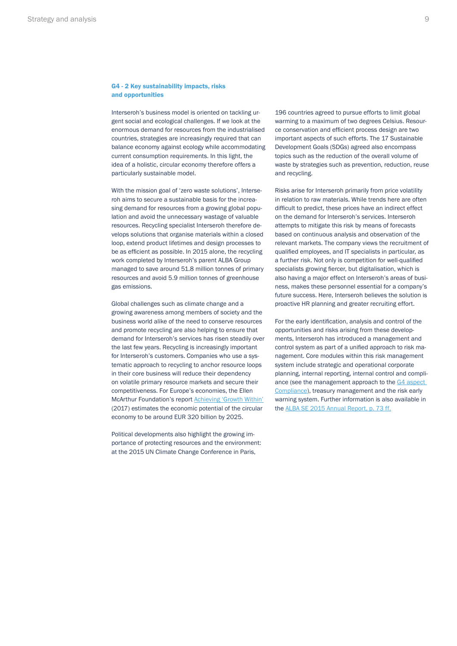#### <span id="page-8-0"></span>G4 - 2 Key sustainability impacts, risks and opportunities

Interseroh's business model is oriented on tackling urgent social and ecological challenges. If we look at the enormous demand for resources from the industrialised countries, strategies are increasingly required that can balance economy against ecology while accommodating current consumption requirements. In this light, the idea of a holistic, circular economy therefore offers a particularly sustainable model.

With the mission goal of 'zero waste solutions', Interseroh aims to secure a sustainable basis for the increasing demand for resources from a growing global population and avoid the unnecessary wastage of valuable resources. Recycling specialist Interseroh therefore develops solutions that organise materials within a closed loop, extend product lifetimes and design processes to be as efficient as possible. In 2015 alone, the recycling work completed by Interseroh's parent ALBA Group managed to save around 51.8 million tonnes of primary resources and avoid 5.9 million tonnes of greenhouse gas emissions.

Global challenges such as climate change and a growing awareness among members of society and the business world alike of the need to conserve resources and promote recycling are also helping to ensure that demand for Interseroh's services has risen steadily over the last few years. Recycling is increasingly important for Interseroh's customers. Companies who use a systematic approach to recycling to anchor resource loops in their core business will reduce their dependency on volatile primary resource markets and secure their competitiveness. For Europe's economies, the Ellen McArthur Foundation's report [Achieving 'Growth Within'](https://www.ellenmacarthurfoundation.org/assets/downloads/publications/Achieving-Growth-Within-20-01-17.pdf) (2017) estimates the economic potential of the circular economy to be around EUR 320 billion by 2025.

Political developments also highlight the growing importance of protecting resources and the environment: at the 2015 UN Climate Change Conference in Paris,

196 countries agreed to pursue efforts to limit global warming to a maximum of two degrees Celsius. Resource conservation and efficient process design are two important aspects of such efforts. The 17 Sustainable Development Goals (SDGs) agreed also encompass topics such as the reduction of the overall volume of waste by strategies such as prevention, reduction, reuse and recycling.

Risks arise for Interseroh primarily from price volatility in relation to raw materials. While trends here are often difficult to predict, these prices have an indirect effect on the demand for Interseroh's services. Interseroh attempts to mitigate this risk by means of forecasts based on continuous analysis and observation of the relevant markets. The company views the recruitment of qualified employees, and IT specialists in particular, as a further risk. Not only is competition for well-qualified specialists growing fiercer, but digitalisation, which is also having a major effect on Interseroh's areas of business, makes these personnel essential for a company's future success. Here, Interseroh believes the solution is proactive HR planning and greater recruiting effort.

For the early identification, analysis and control of the opportunities and risks arising from these developments, Interseroh has introduced a management and control system as part of a unified approach to risk management. Core modules within this risk management system include strategic and operational corporate planning, internal reporting, internal control and compliance (see the management approach to the [G4 aspect](#page-43-0)  [Compliance](#page-43-0)), treasury management and the risk early warning system. Further information is also available in the [ALBA SE 2015 Annual Report, p. 73 ff.](http://www.alba.info/fileadmin/PDF/Bilanzkonferenz/2016/ALBA_GB_2015_web.pdf)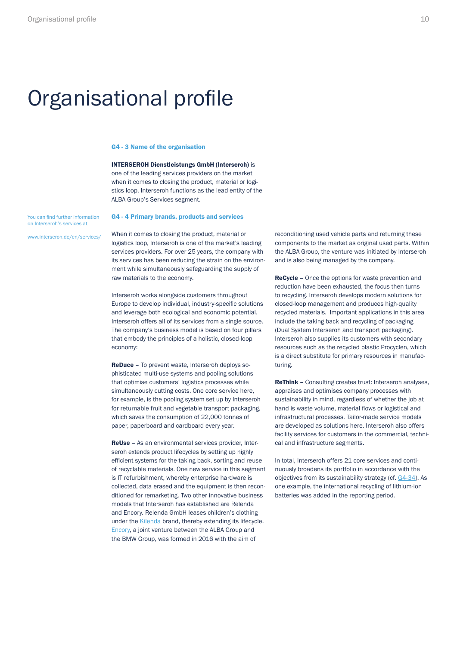# <span id="page-9-0"></span>Organisational profile

#### G4 - 3 Name of the organisation

INTERSEROH Dienstleistungs GmbH (Interseroh) is one of the leading services providers on the market when it comes to closing the product, material or logistics loop. Interseroh functions as the lead entity of the ALBA Group's Services segment.

#### G4 - 4 Primary brands, products and services

You can find further information on Interseroh's services at

[www.interseroh.de/en/services/](https://www.interseroh.de/en/services/)

When it comes to closing the product, material or logistics loop, Interseroh is one of the market's leading services providers. For over 25 years, the company with its services has been reducing the strain on the environment while simultaneously safeguarding the supply of raw materials to the economy.

Interseroh works alongside customers throughout Europe to develop individual, industry-specific solutions and leverage both ecological and economic potential. Interseroh offers all of its services from a single source. The company's business model is based on four pillars that embody the principles of a holistic, closed-loop economy:

ReDuce – To prevent waste, Interseroh deploys sophisticated multi-use systems and pooling solutions that optimise customers' logistics processes while simultaneously cutting costs. One core service here, for example, is the pooling system set up by Interseroh for returnable fruit and vegetable transport packaging, which saves the consumption of 22,000 tonnes of paper, paperboard and cardboard every year.

ReUse – As an environmental services provider, Interseroh extends product lifecycles by setting up highly efficient systems for the taking back, sorting and reuse of recyclable materials. One new service in this segment is IT refurbishment, whereby enterprise hardware is collected, data erased and the equipment is then reconditioned for remarketing. Two other innovative business models that Interseroh has established are Relenda and Encory. Relenda GmbH leases children's clothing under the [Kilenda](https://kilenda.de/) brand, thereby extending its lifecycle. [Encory](http://encory.com/), a joint venture between the ALBA Group and the BMW Group, was formed in 2016 with the aim of

reconditioning used vehicle parts and returning these components to the market as original used parts. Within the ALBA Group, the venture was initiated by Interseroh and is also being managed by the company.

ReCycle – Once the options for waste prevention and reduction have been exhausted, the focus then turns to recycling. Interseroh develops modern solutions for closed-loop management and produces high-quality recycled materials. Important applications in this area include the taking back and recycling of packaging (Dual System Interseroh and transport packaging). Interseroh also supplies its customers with secondary resources such as the recycled plastic Procyclen, which is a direct substitute for primary resources in manufacturing.

ReThink – Consulting creates trust: Interseroh analyses, appraises and optimises company processes with sustainability in mind, regardless of whether the job at hand is waste volume, material flows or logistical and infrastructural processes. Tailor-made service models are developed as solutions here. Interseroh also offers facility services for customers in the commercial, technical and infrastructure segments.

In total, Interseroh offers 21 core services and continuously broadens its portfolio in accordance with the objectives from its sustainability strategy (cf. [G4-34](#page-22-0)). As one example, the international recycling of lithium-ion batteries was added in the reporting period.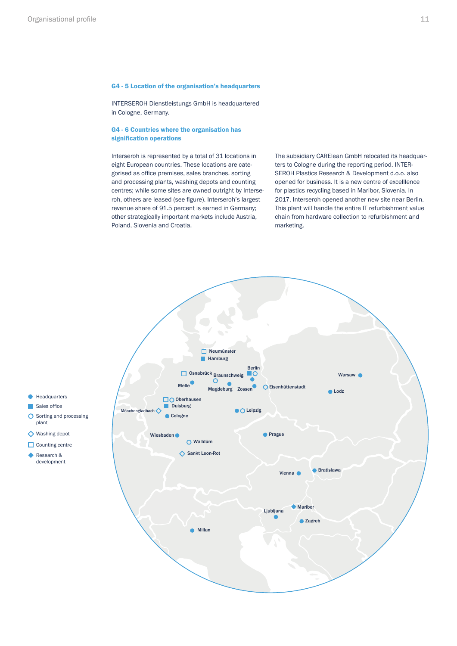#### <span id="page-10-0"></span>G4 - 5 Location of the organisation's headquarters

INTERSEROH Dienstleistungs GmbH is headquartered in Cologne, Germany.

#### G4 - 6 Countries where the organisation has signification operations

Interseroh is represented by a total of 31 locations in eight European countries. These locations are categorised as office premises, sales branches, sorting and processing plants, washing depots and counting centres; while some sites are owned outright by Interseroh, others are leased (see figure). Interseroh's largest revenue share of 91.5 percent is earned in Germany; other strategically important markets include Austria, Poland, Slovenia and Croatia.

The subsidiary CARElean GmbH relocated its headquarters to Cologne during the reporting period. INTER-SEROH Plastics Research & Development d.o.o. also opened for business. It is a new centre of excelllence for plastics recycling based in Maribor, Slovenia. In 2017, Interseroh opened another new site near Berlin. This plant will handle the entire IT refurbishment value chain from hardware collection to refurbishment and marketing.

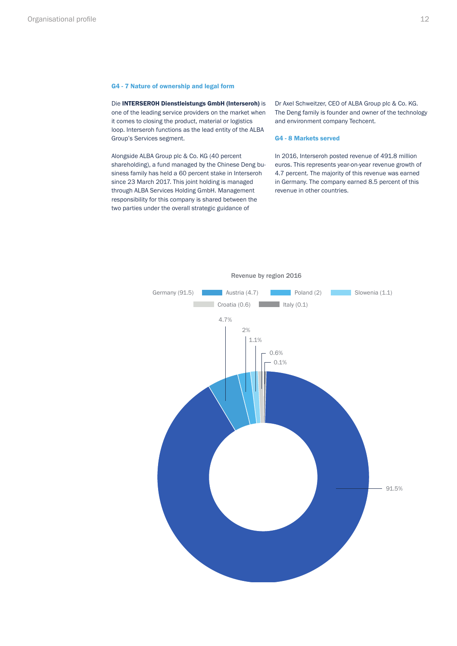#### <span id="page-11-0"></span>G4 - 7 Nature of ownership and legal form

Die INTERSEROH Dienstleistungs GmbH (Interseroh) is one of the leading service providers on the market when it comes to closing the product, material or logistics loop. Interseroh functions as the lead entity of the ALBA Group's Services segment.

Alongside ALBA Group plc & Co. KG (40 percent shareholding), a fund managed by the Chinese Deng business family has held a 60 percent stake in Interseroh since 23 March 2017. This joint holding is managed through ALBA Services Holding GmbH. Management responsibility for this company is shared between the two parties under the overall strategic guidance of

Dr Axel Schweitzer, CEO of ALBA Group plc & Co. KG. The Deng family is founder and owner of the technology and environment company Techcent.

#### G4 - 8 Markets served

In 2016, Interseroh posted revenue of 491.8 million euros. This represents year-on-year revenue growth of 4.7 percent. The majority of this revenue was earned in Germany. The company earned 8.5 percent of this revenue in other countries.

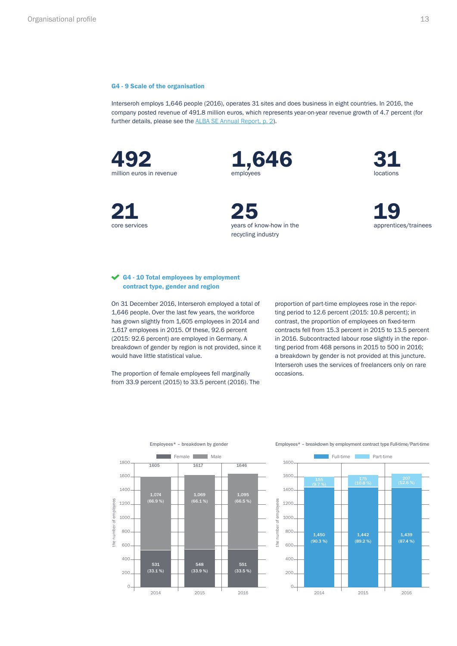#### <span id="page-12-0"></span>G4 - 9 Scale of the organisation

Interseroh employs 1,646 people (2016), operates 31 sites and does business in eight countries. In 2016, the company posted revenue of 491.8 million euros, which represents year-on-year revenue growth of 4.7 percent (for further details, please see the [ALBA SE Annual Report, p. 2](https://www.alba.info/fileadmin/PDF/Geschaeftsberichte/2017/ALBA_GB_2016_web.pdf#page=2)).

492 1,646 31 million euros in revenue

core services



21 25 19 years of know-how in the recycling industry



apprentices/trainees

#### G4 - 10 Total employees by employment contract type, gender and region

On 31 December 2016, Interseroh employed a total of 1,646 people. Over the last few years, the workforce has grown slightly from 1,605 employees in 2014 and 1,617 employees in 2015. Of these, 92.6 percent (2015: 92.6 percent) are employed in Germany. A breakdown of gender by region is not provided, since it would have little statistical value.

The proportion of female employees fell marginally from 33.9 percent (2015) to 33.5 percent (2016). The

proportion of part-time employees rose in the reporting period to 12.6 percent (2015: 10.8 percent); in contrast, the proportion of employees on fixed-term contracts fell from 15.3 percent in 2015 to 13.5 percent in 2016. Subcontracted labour rose slightly in the reporting period from 468 persons in 2015 to 500 in 2016; a breakdown by gender is not provided at this juncture. Interseroh uses the services of freelancers only on rare occasions.





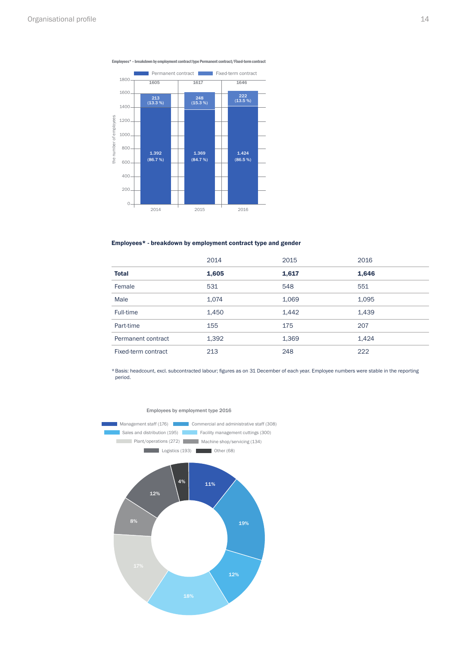



#### Employees\* - breakdown by employment contract type and gender

|                     | 2014  | 2015  | 2016  |
|---------------------|-------|-------|-------|
| <b>Total</b>        | 1,605 | 1,617 | 1,646 |
| Female              | 531   | 548   | 551   |
| Male                | 1,074 | 1,069 | 1,095 |
| Full-time           | 1,450 | 1,442 | 1,439 |
| Part-time           | 155   | 175   | 207   |
| Permanent contract  | 1,392 | 1,369 | 1,424 |
| Fixed-term contract | 213   | 248   | 222   |

\*Basis: headcount, excl. subcontracted labour; figures as on 31 December of each year. Employee numbers were stable in the reporting period.



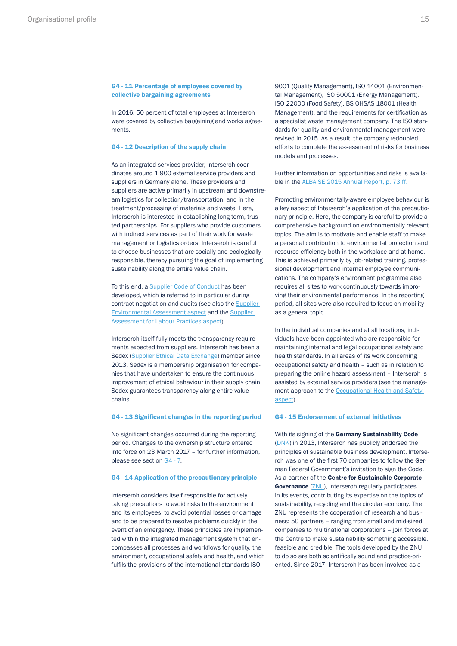#### <span id="page-14-0"></span>G4 - 11 Percentage of employees covered by collective bargaining agreements

In 2016, 50 percent of total employees at Interseroh were covered by collective bargaining and works agreements.

#### G4 - 12 Description of the supply chain

As an integrated services provider, Interseroh coordinates around 1,900 external service providers and suppliers in Germany alone. These providers and suppliers are active primarily in upstream and downstream logistics for collection/transportation, and in the treatment/processing of materials and waste. Here, Interseroh is interested in establishing long-term, trusted partnerships. For suppliers who provide customers with indirect services as part of their work for waste management or logistics orders, Interseroh is careful to choose businesses that are socially and ecologically responsible, thereby pursuing the goal of implementing sustainability along the entire value chain.

To this end, a [Supplier Code of Conduct](https://partnerportal.albagroup.de/portal/content/hmp/lieferantenportal/Lieferantenkodex.pdf) has been developed, which is referred to in particular during contract negotiation and audits (see also the [Supplier](#page-35-0)  [Environmental Assessment aspect](#page-35-0) and the [Supplier](#page-42-0)  [Assessment for Labour Practices aspect\)](#page-42-0).

Interseroh itself fully meets the transparency requirements expected from suppliers. Interseroh has been a Sedex ([Supplier Ethical Data Exchange](https://www.sedexglobal.com/)) member since 2013. Sedex is a membership organisation for companies that have undertaken to ensure the continuous improvement of ethical behaviour in their supply chain. Sedex guarantees transparency along entire value chains.

#### G4 - 13 Significant changes in the reporting period G4 - 15 Endorsement of external initiatives

No significant changes occurred during the reporting period. Changes to the ownership structure entered into force on 23 March 2017 – for further information, please see section [G4 - 7](#page-11-0).

#### G4 - 14 Application of the precautionary principle

Interseroh considers itself responsible for actively taking precautions to avoid risks to the environment and its employees, to avoid potential losses or damage and to be prepared to resolve problems quickly in the event of an emergency. These principles are implemented within the integrated management system that encompasses all processes and workflows for quality, the environment, occupational safety and health, and which fulfils the provisions of the international standards ISO

9001 (Quality Management), ISO 14001 (Environmental Management), ISO 50001 (Energy Management), ISO 22000 (Food Safety), BS OHSAS 18001 (Health Management), and the requirements for certification as a specialist waste management company. The ISO standards for quality and environmental management were revised in 2015. As a result, the company redoubled efforts to complete the assessment of risks for business models and processes.

Further information on opportunities and risks is available in the [ALBA SE 2015 Annual Report, p. 73 ff.](http://www.alba.info/fileadmin/PDF/Bilanzkonferenz/2016/ALBA_GB_2015_web.pdf)

Promoting environmentally-aware employee behaviour is a key aspect of Interseroh's application of the precautionary principle. Here, the company is careful to provide a comprehensive background on environmentally relevant topics. The aim is to motivate and enable staff to make a personal contribution to environmental protection and resource efficiency both in the workplace and at home. This is achieved primarily by job-related training, professional development and internal employee communications. The company's environment programme also requires all sites to work continuously towards improving their environmental performance. In the reporting period, all sites were also required to focus on mobility as a general topic.

In the individual companies and at all locations, individuals have been appointed who are responsible for maintaining internal and legal occupational safety and health standards. In all areas of its work concerning occupational safety and health – such as in relation to preparing the online hazard assessment – Interseroh is assisted by external service providers (see the management approach to the Occupational Health and Safety [aspect](#page-38-0)).

With its signing of the Germany Sustainability Code ([DNK](http://www.deutscher-nachhaltigkeitskodex.de/de/datenbank/dnk-datenbank.html)) in 2013, Interseroh has publicly endorsed the principles of sustainable business development. Interseroh was one of the first 70 companies to follow the German Federal Government's invitation to sign the Code. As a partner of the Centre for Sustainable Corporate Governance ([ZNU](http://www.mehrwert-nachhaltigkeit.de/index.html)), Interseroh regularly participates in its events, contributing its expertise on the topics of sustainability, recycling and the circular economy. The ZNU represents the cooperation of research and business: 50 partners – ranging from small and mid-sized companies to multinational corporations – join forces at the Centre to make sustainability something accessible, feasible and credible. The tools developed by the ZNU to do so are both scientifically sound and practice-oriented. Since 2017, Interseroh has been involved as a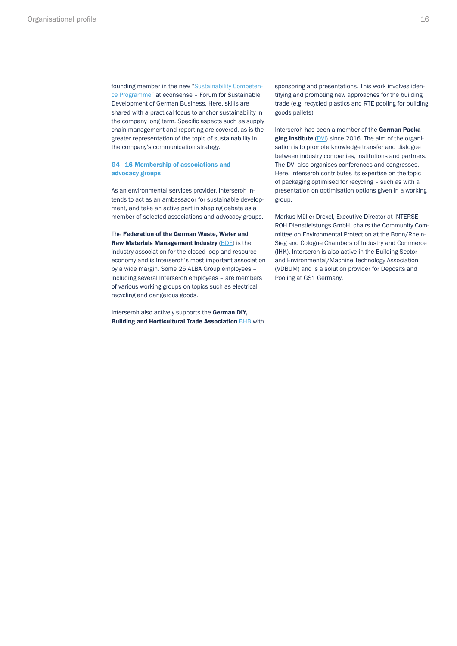<span id="page-15-0"></span>founding member in the new ["Sustainability Competen](http://www.econsense.de/de/kompetenzprogramm-nachhaltigkeit)[ce Programme](http://www.econsense.de/de/kompetenzprogramm-nachhaltigkeit)" at econsense – Forum for Sustainable Development of German Business. Here, skills are shared with a practical focus to anchor sustainability in the company long term. Specific aspects such as supply chain management and reporting are covered, as is the greater representation of the topic of sustainability in the company's communication strategy.

#### G4 - 16 Membership of associations and advocacy groups

As an environmental services provider, Interseroh intends to act as an ambassador for sustainable development, and take an active part in shaping debate as a member of selected associations and advocacy groups.

The Federation of the German Waste, Water and Raw Materials Management Industry ([BDE](https://bde.de/)) is the industry association for the closed-loop and resource economy and is Interseroh's most important association by a wide margin. Some 25 ALBA Group employees – including several Interseroh employees – are members of various working groups on topics such as electrical recycling and dangerous goods.

Interseroh also actively supports the German DIY, **Building and Horticultural Trade Association [BHB](http://www.bhb.org/) with**  sponsoring and presentations. This work involves identifying and promoting new approaches for the building trade (e.g. recycled plastics and RTE pooling for building goods pallets).

Interseroh has been a member of the German Packa-ging Institute ([DVI\)](http://www.verpackung.org/) since 2016. The aim of the organisation is to promote knowledge transfer and dialogue between industry companies, institutions and partners. The DVI also organises conferences and congresses. Here, Interseroh contributes its expertise on the topic of packaging optimised for recycling – such as with a presentation on optimisation options given in a working group.

Markus Müller-Drexel, Executive Director at INTERSE-ROH Dienstleistungs GmbH, chairs the Community Committee on Environmental Protection at the Bonn/Rhein-Sieg and Cologne Chambers of Industry and Commerce (IHK). Interseroh is also active in the Building Sector and Environmental/Machine Technology Association (VDBUM) and is a solution provider for Deposits and Pooling at GS1 Germany.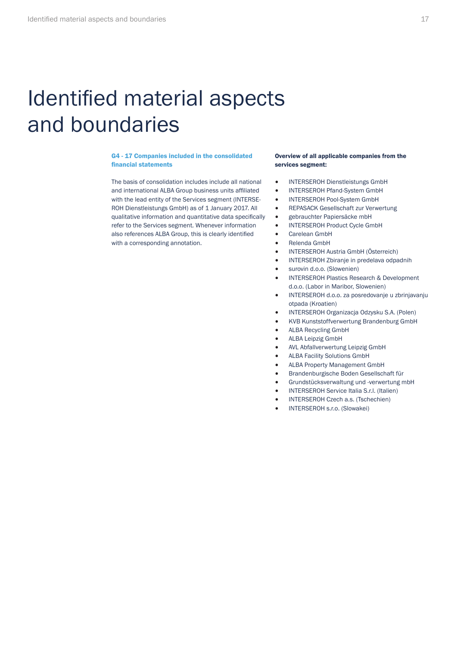# <span id="page-16-0"></span>Identified material aspects and boundaries

#### G4 - 17 Companies included in the consolidated financial statements

The basis of consolidation includes include all national and international ALBA Group business units affiliated with the lead entity of the Services segment (INTERSE-ROH Dienstleistungs GmbH) as of 1 January 2017. All qualitative information and quantitative data specifically refer to the Services segment. Whenever information also references ALBA Group, this is clearly identified with a corresponding annotation.

#### Overview of all applicable companies from the services segment:

- INTERSEROH Dienstleistungs GmbH
- INTERSEROH Pfand-System GmbH
- INTERSEROH Pool-System GmbH
- REPASACK Gesellschaft zur Verwertung
- gebrauchter Papiersäcke mbH
- INTERSEROH Product Cycle GmbH
- Carelean GmbH
- Relenda GmbH
- INTERSEROH Austria GmbH (Österreich)
- INTERSEROH Zbiranje in predelava odpadnih
- surovin d.o.o. (Slowenien)
- INTERSEROH Plastics Research & Development d.o.o. (Labor in Maribor, Slowenien)
- INTERSEROH d.o.o. za posredovanje u zbrinjavanju otpada (Kroatien)
- INTERSEROH Organizacja Odzysku S.A. (Polen)
- KVB Kunststoffverwertung Brandenburg GmbH
- ALBA Recycling GmbH
- ALBA Leipzig GmbH
- AVL Abfallverwertung Leipzig GmbH
- ALBA Facility Solutions GmbH
- ALBA Property Management GmbH
- Brandenburgische Boden Gesellschaft für
- Grundstücksverwaltung und -verwertung mbH
- INTERSEROH Service Italia S.r.l. (Italien)
- INTERSEROH Czech a.s. (Tschechien)
- INTERSEROH s.r.o. (Slowakei)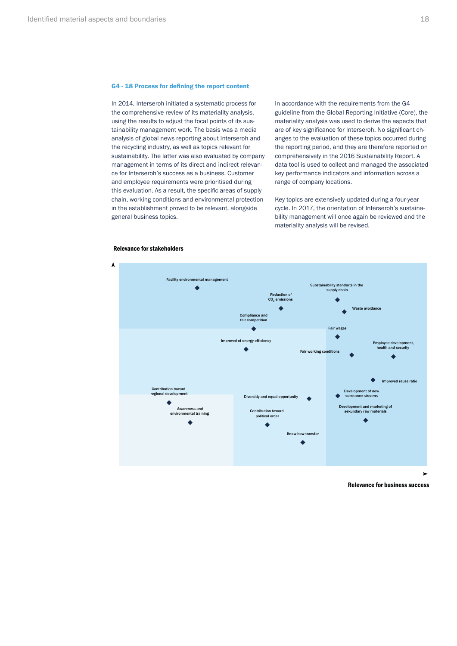#### <span id="page-17-0"></span>G4 - 18 Process for defining the report content

In 2014, Interseroh initiated a systematic process for the comprehensive review of its materiality analysis, using the results to adjust the focal points of its sustainability management work. The basis was a media analysis of global news reporting about Interseroh and the recycling industry, as well as topics relevant for sustainability. The latter was also evaluated by company management in terms of its direct and indirect relevance for Interseroh's success as a business. Customer and employee requirements were prioritised during this evaluation. As a result, the specific areas of supply chain, working conditions and environmental protection in the establishment proved to be relevant, alongside general business topics.

In accordance with the requirements from the G4 guideline from the Global Reporting Initiative (Core), the materiality analysis was used to derive the aspects that are of key significance for Interseroh. No significant changes to the evaluation of these topics occurred during the reporting period, and they are therefore reported on comprehensively in the 2016 Sustainability Report. A data tool is used to collect and managed the associated key performance indicators and information across a range of company locations.

Key topics are extensively updated during a four-year cycle. In 2017, the orientation of Interseroh's sustainability management will once again be reviewed and the materiality analysis will be revised.



#### Relevance for stakeholders

Relevance for business success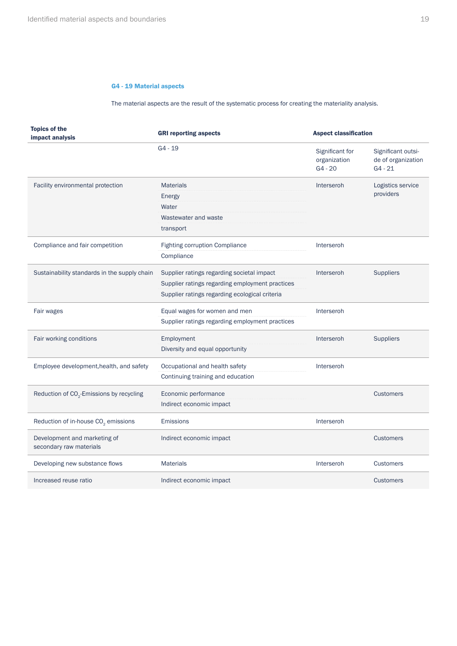#### G4 - 19 Material aspects

The material aspects are the result of the systematic process for creating the materiality analysis.

<span id="page-18-0"></span>

| <b>Topics of the</b><br>impact analysis                 | <b>GRI reporting aspects</b>                    | <b>Aspect classification</b>                 |                                                       |
|---------------------------------------------------------|-------------------------------------------------|----------------------------------------------|-------------------------------------------------------|
|                                                         | $G4 - 19$                                       | Significant for<br>organization<br>$G4 - 20$ | Significant outsi-<br>de of organization<br>$G4 - 21$ |
| Facility environmental protection                       | <b>Materials</b>                                | Interseroh                                   | Logistics service                                     |
|                                                         | Energy                                          |                                              | providers                                             |
|                                                         | Water                                           |                                              |                                                       |
|                                                         | Wastewater and waste                            |                                              |                                                       |
|                                                         | transport                                       |                                              |                                                       |
| Compliance and fair competition                         | <b>Fighting corruption Compliance</b>           | Interseroh                                   |                                                       |
|                                                         | Compliance                                      |                                              |                                                       |
| Sustainability standards in the supply chain            | Supplier ratings regarding societal impact      | Interseroh                                   | <b>Suppliers</b>                                      |
|                                                         | Supplier ratings regarding employment practices |                                              |                                                       |
|                                                         | Supplier ratings regarding ecological criteria  |                                              |                                                       |
| Fair wages                                              | Equal wages for women and men                   | Interseroh                                   |                                                       |
|                                                         | Supplier ratings regarding employment practices |                                              |                                                       |
| Fair working conditions                                 | Employment                                      | Interseroh                                   | <b>Suppliers</b>                                      |
|                                                         | Diversity and equal opportunity                 |                                              |                                                       |
| Employee development, health, and safety                | Occupational and health safety                  | Interseroh                                   |                                                       |
|                                                         | Continuing training and education               |                                              |                                                       |
| Reduction of CO <sub>2</sub> -Emissions by recycling    | Economic performance                            |                                              | <b>Customers</b>                                      |
|                                                         | Indirect economic impact                        |                                              |                                                       |
| Reduction of in-house CO <sub>2</sub> emissions         | Emissions                                       | Interseroh                                   |                                                       |
| Development and marketing of<br>secondary raw materials | Indirect economic impact                        |                                              | <b>Customers</b>                                      |
| Developing new substance flows                          | <b>Materials</b>                                | Interseroh                                   | <b>Customers</b>                                      |
| Increased reuse ratio                                   | Indirect economic impact                        |                                              | <b>Customers</b>                                      |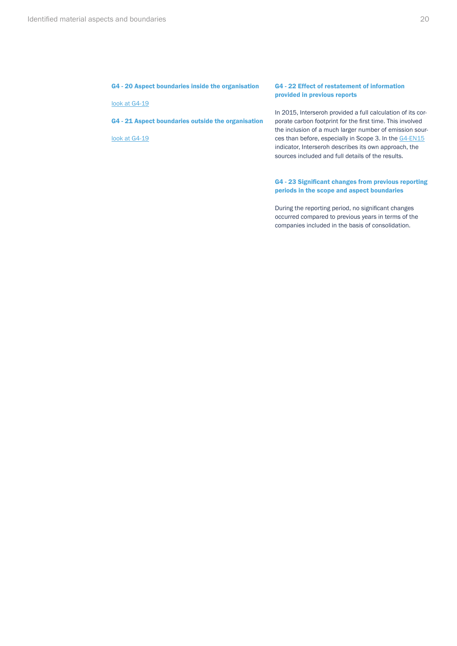#### <span id="page-19-0"></span>G4 - 20 Aspect boundaries inside the organisation

[look at G4-19](#page-18-0)

G4 - 21 Aspect boundaries outside the organisation

[look at G4-19](#page-18-0)

#### G4 - 22 Effect of restatement of information provided in previous reports

In 2015, Interseroh provided a full calculation of its corporate carbon footprint for the first time. This involved the inclusion of a much larger number of emission sour-ces than before, especially in Scope 3. In the [G4-EN15](#page-30-0) indicator, Interseroh describes its own approach, the sources included and full details of the results.

#### G4 - 23 Significant changes from previous reporting periods in the scope and aspect boundaries

During the reporting period, no significant changes occurred compared to previous years in terms of the companies included in the basis of consolidation.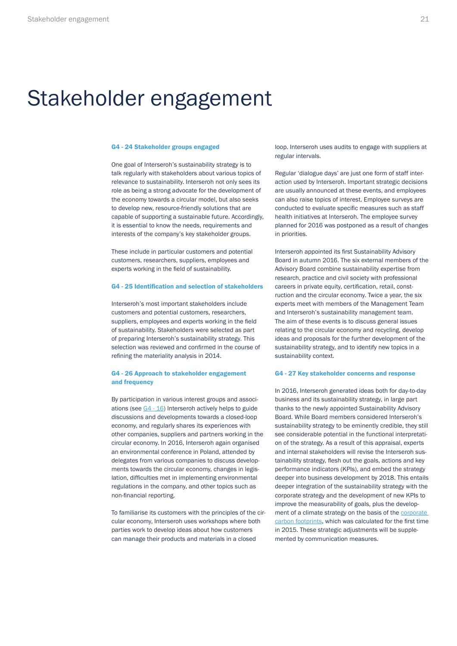# <span id="page-20-0"></span>Stakeholder engagement

#### G4 - 24 Stakeholder groups engaged

One goal of Interseroh's sustainability strategy is to talk regularly with stakeholders about various topics of relevance to sustainability. Interseroh not only sees its role as being a strong advocate for the development of the economy towards a circular model, but also seeks to develop new, resource-friendly solutions that are capable of supporting a sustainable future. Accordingly, it is essential to know the needs, requirements and interests of the company's key stakeholder groups.

These include in particular customers and potential customers, researchers, suppliers, employees and experts working in the field of sustainability.

#### G4 - 25 Identification and selection of stakeholders

Interseroh's most important stakeholders include customers and potential customers, researchers, suppliers, employees and experts working in the field of sustainability. Stakeholders were selected as part of preparing Interseroh's sustainability strategy. This selection was reviewed and confirmed in the course of refining the materiality analysis in 2014.

#### G4 - 26 Approach to stakeholder engagement and frequency

By participation in various interest groups and associations (see [G4 - 16](#page-15-0)) Interseroh actively helps to guide discussions and developments towards a closed-loop economy, and regularly shares its experiences with other companies, suppliers and partners working in the circular economy. In 2016, Interseroh again organised an environmental conference in Poland, attended by delegates from various companies to discuss developments towards the circular economy, changes in legislation, difficulties met in implementing environmental regulations in the company, and other topics such as non-financial reporting.

To familiarise its customers with the principles of the circular economy, Interseroh uses workshops where both parties work to develop ideas about how customers can manage their products and materials in a closed

loop. Interseroh uses audits to engage with suppliers at regular intervals.

Regular 'dialogue days' are just one form of staff interaction used by Interseroh. Important strategic decisions are usually announced at these events, and employees can also raise topics of interest. Employee surveys are conducted to evaluate specific measures such as staff health initiatives at Interseroh. The employee survey planned for 2016 was postponed as a result of changes in priorities.

Interseroh appointed its first Sustainability Advisory Board in autumn 2016. The six external members of the Advisory Board combine sustainability expertise from research, practice and civil society with professional careers in private equity, certification, retail, construction and the circular economy. Twice a year, the six experts meet with members of the Management Team and Interseroh's sustainability management team. The aim of these events is to discuss general issues relating to the circular economy and recycling, develop ideas and proposals for the further development of the sustainability strategy, and to identify new topics in a sustainability context.

#### G4 - 27 Key stakeholder concerns and response

In 2016, Interseroh generated ideas both for day-to-day business and its sustainability strategy, in large part thanks to the newly appointed Sustainability Advisory Board. While Board members considered Interseroh's sustainability strategy to be eminently credible, they still see considerable potential in the functional interpretation of the strategy. As a result of this appraisal, experts and internal stakeholders will revise the Interseroh sustainability strategy, flesh out the goals, actions and key performance indicators (KPIs), and embed the strategy deeper into business development by 2018. This entails deeper integration of the sustainability strategy with the corporate strategy and the development of new KPIs to improve the measurability of goals, plus the development of a climate strategy on the basis of the [corporate](#page-32-0)  [carbon footprints](#page-32-0), which was calculated for the first time in 2015. These strategic adjustments will be supplemented by communication measures.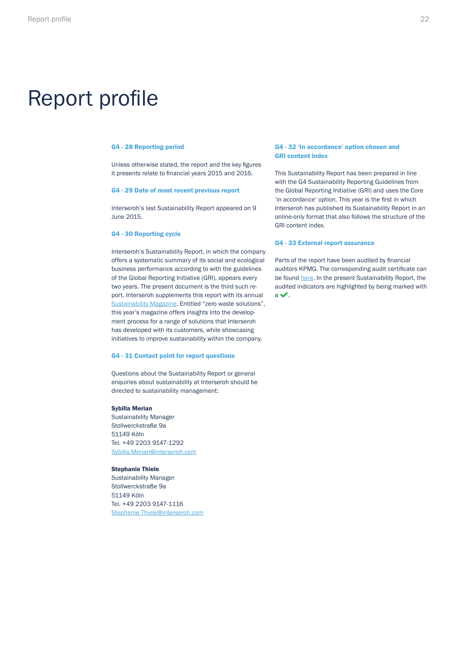# <span id="page-21-0"></span>Report profile

#### G4 - 28 Reporting period

Unless otherwise stated, the report and the key figures it presents relate to financial years 2015 and 2016.

#### G4 - 29 Date of most recent previous report

Interseroh's last Sustainability Report appeared on 9 June 2015.

#### G4 - 30 Reporting cycle

Interseroh's Sustainability Report, in which the company offers a systematic summary of its social and ecological business performance according to with the guidelines of the Global Reporting Initiative (GRI), appears every two years. The present document is the third such report. Interseroh supplements this report with its annual [Sustainability Magazine](https://www.interseroh.de/fileadmin/PDF/Nachhaltigkeitsreporting_und_Zertifikate/Englisch/Sustainability_Magazine_2016.pdf). Entitled "zero waste solutions", this year's magazine offers insights into the development process for a range of solutions that Interseroh has developed with its customers, while showcasing initiatives to improve sustainability within the company.

#### G4 - 31 Contact point for report questions

Questions about the Sustainability Report or general enquiries about sustainability at Interseroh should be directed to sustainability management:

#### Sybilla Merian

Sustainability Manager Stollwerckstraße 9a 51149 Köln Tel. +49 2203 9147-1292 Sybilla.Merian@interseroh.com

#### Stephanie Thiele

Sustainability Manager Stollwerckstraße 9a 51149 Köln Tel. +49 2203 9147-1116 Stephanie.Thiele@interseroh.com

#### G4 - 32 'In accordance' option chosen and GRI content index

This Sustainability Report has been prepared in line with the G4 Sustainability Reporting Guidelines from the Global Reporting Initiative (GRI) and uses the Core 'in accordance' option. This year is the first in which Interseroh has published its Sustainability Report in an online-only format that also follows the structure of the GRI content index.

#### G4 - 33 External report assurance

Parts of the report have been audited by financial auditors KPMG. The corresponding audit certificate can be found [here](https://www.interseroh.de/fileadmin/PDF/Nachhaltigkeitsreporting_und_Zertifikate/Englisch/Assurance_Report_Sustainability_Report_2016.pdf). In the present Sustainability Report, the audited indicators are highlighted by being marked with  $a \blacktriangleright$ .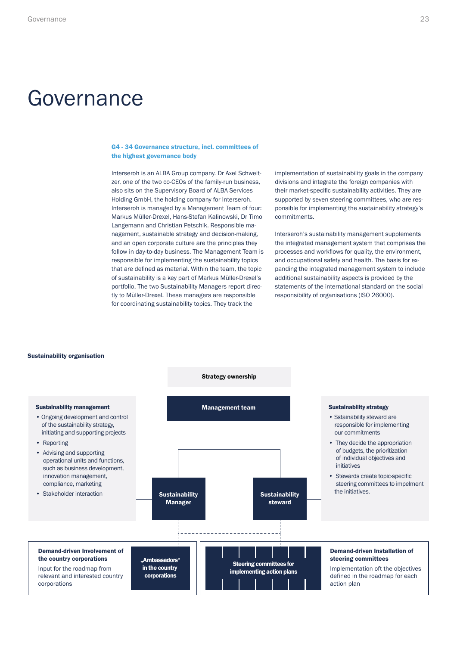# <span id="page-22-0"></span>Governance

#### G4 - 34 Governance structure, incl. committees of the highest governance body

Interseroh is an ALBA Group company. Dr Axel Schweitzer, one of the two co-CEOs of the family-run business, also sits on the Supervisory Board of ALBA Services Holding GmbH, the holding company for Interseroh. Interseroh is managed by a Management Team of four: Markus Müller-Drexel, Hans-Stefan Kalinowski, Dr Timo Langemann and Christian Petschik. Responsible management, sustainable strategy and decision-making, and an open corporate culture are the principles they follow in day-to-day business. The Management Team is responsible for implementing the sustainability topics that are defined as material. Within the team, the topic of sustainability is a key part of Markus Müller-Drexel's portfolio. The two Sustainability Managers report directly to Müller-Drexel. These managers are responsible for coordinating sustainability topics. They track the

implementation of sustainability goals in the company divisions and integrate the foreign companies with their market-specific sustainability activities. They are supported by seven steering committees, who are responsible for implementing the sustainability strategy's commitments.

Interseroh's sustainability management supplements the integrated management system that comprises the processes and workflows for quality, the environment, and occupational safety and health. The basis for expanding the integrated management system to include additional sustainability aspects is provided by the statements of the international standard on the social responsibility of organisations (ISO 26000).

#### Sustainability organisation

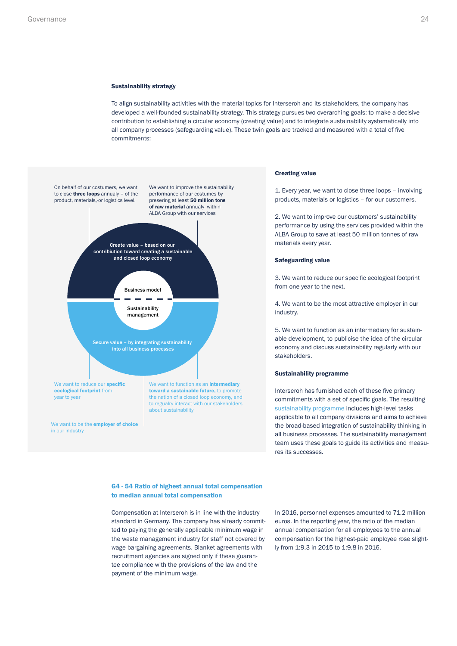#### <span id="page-23-0"></span>Sustainability strategy

To align sustainability activities with the material topics for Interseroh and its stakeholders, the company has developed a well-founded sustainability strategy. This strategy pursues two overarching goals: to make a decisive contribution to establishing a circular economy (creating value) and to integrate sustainability systematically into all company processes (safeguarding value). These twin goals are tracked and measured with a total of five commitments:



#### Creating value

1. Every year, we want to close three loops – involving products, materials or logistics – for our customers.

2. We want to improve our customers' sustainability performance by using the services provided within the ALBA Group to save at least 50 million tonnes of raw materials every year.

#### Safeguarding value

3. We want to reduce our specific ecological footprint from one year to the next.

4. We want to be the most attractive employer in our industry.

5. We want to function as an intermediary for sustainable development, to publicise the idea of the circular economy and discuss sustainability regularly with our stakeholders.

#### Sustainability programme

Interseroh has furnished each of these five primary commitments with a set of specific goals. The resulting [sustainability programme](https://www.interseroh.de/fileadmin/PDF/Nachhaltigkeitsreporting_und_Zertifikate/Interseroh_NH_Programm_web_31.05.17.pdf) includes high-level tasks applicable to all company divisions and aims to achieve the broad-based integration of sustainability thinking in all business processes. The sustainability management team uses these goals to guide its activities and measures its successes.

#### G4 - 54 Ratio of highest annual total compensation to median annual total compensation

Compensation at Interseroh is in line with the industry standard in Germany. The company has already committed to paying the generally applicable minimum wage in the waste management industry for staff not covered by wage bargaining agreements. Blanket agreements with recruitment agencies are signed only if these guarantee compliance with the provisions of the law and the payment of the minimum wage.

In 2016, personnel expenses amounted to 71.2 million euros. In the reporting year, the ratio of the median annual compensation for all employees to the annual compensation for the highest-paid employee rose slightly from 1:9.3 in 2015 to 1:9.8 in 2016.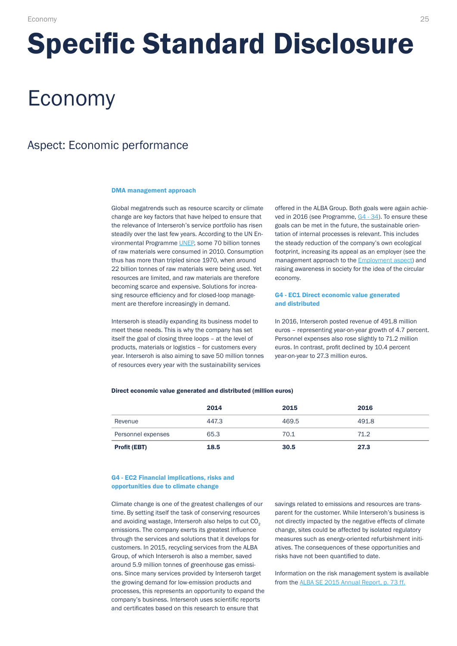# <span id="page-24-0"></span>Specific Standard Disclosure

# Economy

# Aspect: Economic performance

#### DMA management approach

Global megatrends such as resource scarcity or climate change are key factors that have helped to ensure that the relevance of Interseroh's service portfolio has risen steadily over the last few years. According to the UN Environmental Programme [UNEP,](http://klimawandel-bekaempfen.dgvn.de/klimaschutz/un-umweltprogramm-unep/) some 70 billion tonnes of raw materials were consumed in 2010. Consumption thus has more than tripled since 1970, when around 22 billion tonnes of raw materials were being used. Yet resources are limited, and raw materials are therefore becoming scarce and expensive. Solutions for increasing resource efficiency and for closed-loop management are therefore increasingly in demand.

Interseroh is steadily expanding its business model to meet these needs. This is why the company has set itself the goal of closing three loops – at the level of products, materials or logistics – for customers every year. Interseroh is also aiming to save 50 million tonnes of resources every year with the sustainability services

offered in the ALBA Group. Both goals were again achieved in 2016 (see Programme, [G4 - 34](#page-22-0)). To ensure these goals can be met in the future, the sustainable orientation of internal processes is relevant. This includes the steady reduction of the company's own ecological footprint, increasing its appeal as an employer (see the management approach to the [Employment aspect](#page-36-0)) and raising awareness in society for the idea of the circular economy.

#### G4 - EC1 Direct economic value generated and distributed

In 2016, Interseroh posted revenue of 491.8 million euros – representing year-on-year growth of 4.7 percent. Personnel expenses also rose slightly to 71.2 million euros. In contrast, profit declined by 10.4 percent year-on-year to 27.3 million euros.

#### Direct economic value generated and distributed (million euros)

|                     | 2014  | 2015  | 2016  |
|---------------------|-------|-------|-------|
| Revenue             | 447.3 | 469.5 | 491.8 |
| Personnel expenses  | 65.3  | 70.1  | 71.2  |
| <b>Profit (EBT)</b> | 18.5  | 30.5  | 27.3  |

#### G4 - EC2 Financial implications, risks and opportunities due to climate change

Climate change is one of the greatest challenges of our time. By setting itself the task of conserving resources and avoiding wastage, Interseroh also helps to cut CO<sub>2</sub> emissions. The company exerts its greatest influence through the services and solutions that it develops for customers. In 2015, recycling services from the ALBA Group, of which Interseroh is also a member, saved around 5.9 million tonnes of greenhouse gas emissions. Since many services provided by Interseroh target the growing demand for low-emission products and processes, this represents an opportunity to expand the company's business. Interseroh uses scientific reports and certificates based on this research to ensure that

savings related to emissions and resources are transparent for the customer. While Interseroh's business is not directly impacted by the negative effects of climate change, sites could be affected by isolated regulatory measures such as energy-oriented refurbishment initiatives. The consequences of these opportunities and risks have not been quantified to date.

Information on the risk management system is available from the [ALBA SE 2015 Annual Report, p. 73 ff.](http://www.alba.info/fileadmin/PDF/Bilanzkonferenz/2016/ALBA_GB_2015_web.pdf)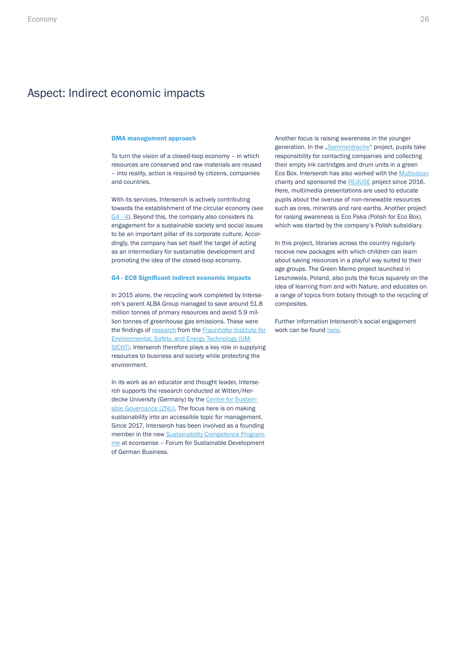### <span id="page-25-0"></span>Aspect: Indirect economic impacts

#### DMA management approach

To turn the vision of a closed-loop economy – in which resources are conserved and raw materials are reused – into reality, action is required by citizens, companies and countries.

With its services, Interseroh is actively contributing towards the establishment of the circular economy (see [G4 - 4](#page-9-0)). Beyond this, the company also considers its engagement for a sustainable society and social issues to be an important pillar of its corporate culture. Accordingly, the company has set itself the target of acting as an intermediary for sustainable development and promoting the idea of the closed-loop economy.

#### G4 - EC8 Significant indirect economic impacts

In 2015 alone, the recycling work completed by Interseroh's parent ALBA Group managed to save around 51.8 million tonnes of primary resources and avoid 5.9 million tonnes of greenhouse gas emissions. These were the findings of [research](https://www.interseroh.at/en/sustainability/reports-and-certificates/) from the [Fraunhofer Institute for](https://www.umsicht.fraunhofer.de/en.html) [Environmental, Safety, and Energy Technology \(UM](https://www.umsicht.fraunhofer.de/en.html)-[SICHT\)](https://www.umsicht.fraunhofer.de/en.html). Interseroh therefore plays a key role in supplying resources to business and society while protecting the environment.

In its work as an educator and thought leader, Interseroh supports the research conducted at Witten/Herdecke University (Germany) by the [Centre for Sustain](http://www.mehrwert-nachhaltigkeit.de/index.html)[able Governance \(ZNU\)](http://www.mehrwert-nachhaltigkeit.de/index.html). The focus here is on making sustainability into an accessible topic for management. Since 2017, Interseroh has been involved as a founding member in the new [Sustainability Competence Program](http://www.econsense.de/de/kompetenzprogramm-nachhaltigkeit)[me](http://www.econsense.de/de/kompetenzprogramm-nachhaltigkeit) at econsense – Forum for Sustainable Development of German Business.

Another focus is raising awareness in the younger generation. In the ["Sammeldrache](http://www.sammeldrache.de/)" project, pupils take responsibility for contacting companies and collecting their empty ink cartridges and drum units in a green Eco Box. Interseroh has also worked with the [Multivision](http://www.multivision.info/)  charity and sponsored the [REdUSE](http://www.multivision.info/index.php/projekte-2/reduse/) project since 2016. Here, multimedia presentations are used to educate pupils about the overuse of non-renewable resources such as ores, minerals and rare earths. Another project for raising awareness is Eco Paka (Polish for Eco Box), which was started by the company's Polish subsidiary.

In this project, libraries across the country regularly receive new packages with which children can learn about saving resources in a playful way suited to their age groups. The Green Memo project launched in Lesznowola, Poland, also puts the focus squarely on the idea of learning from and with Nature, and educates on a range of topics from botany through to the recycling of composites.

Further information Interseroh's social engagement work can be found [here.](https://www.interseroh.de/en/sustainability/sustainability-activities/community/)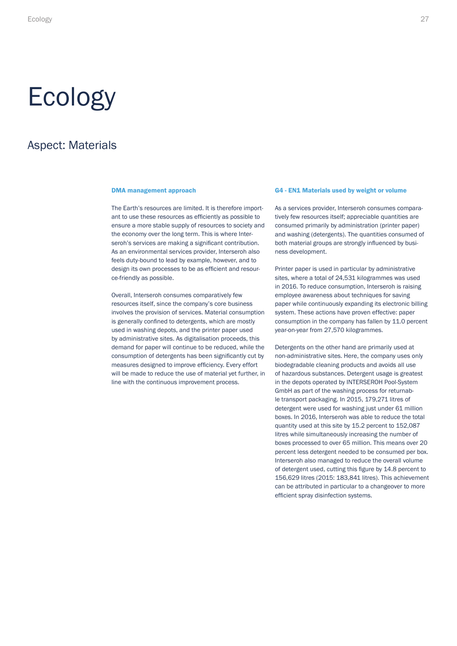# <span id="page-26-0"></span>Ecology

# Aspect: Materials

The Earth's resources are limited. It is therefore important to use these resources as efficiently as possible to ensure a more stable supply of resources to society and the economy over the long term. This is where Interseroh's services are making a significant contribution. As an environmental services provider, Interseroh also feels duty-bound to lead by example, however, and to design its own processes to be as efficient and resource-friendly as possible.

Overall, Interseroh consumes comparatively few resources itself, since the company's core business involves the provision of services. Material consumption is generally confined to detergents, which are mostly used in washing depots, and the printer paper used by administrative sites. As digitalisation proceeds, this demand for paper will continue to be reduced, while the consumption of detergents has been significantly cut by measures designed to improve efficiency. Every effort will be made to reduce the use of material yet further, in line with the continuous improvement process.

#### DMA management approach G4 - EN1 Materials used by weight or volume

As a services provider, Interseroh consumes comparatively few resources itself; appreciable quantities are consumed primarily by administration (printer paper) and washing (detergents). The quantities consumed of both material groups are strongly influenced by business development.

Printer paper is used in particular by administrative sites, where a total of 24,531 kilogrammes was used in 2016. To reduce consumption, Interseroh is raising employee awareness about techniques for saving paper while continuously expanding its electronic billing system. These actions have proven effective: paper consumption in the company has fallen by 11.0 percent year-on-year from 27,570 kilogrammes.

Detergents on the other hand are primarily used at non-administrative sites. Here, the company uses only biodegradable cleaning products and avoids all use of hazardous substances. Detergent usage is greatest in the depots operated by INTERSEROH Pool-System GmbH as part of the washing process for returnable transport packaging. In 2015, 179,271 litres of detergent were used for washing just under 61 million boxes. In 2016, Interseroh was able to reduce the total quantity used at this site by 15.2 percent to 152,087 litres while simultaneously increasing the number of boxes processed to over 65 million. This means over 20 percent less detergent needed to be consumed per box. Interseroh also managed to reduce the overall volume of detergent used, cutting this figure by 14.8 percent to 156,629 litres (2015: 183,841 litres). This achievement can be attributed in particular to a changeover to more efficient spray disinfection systems.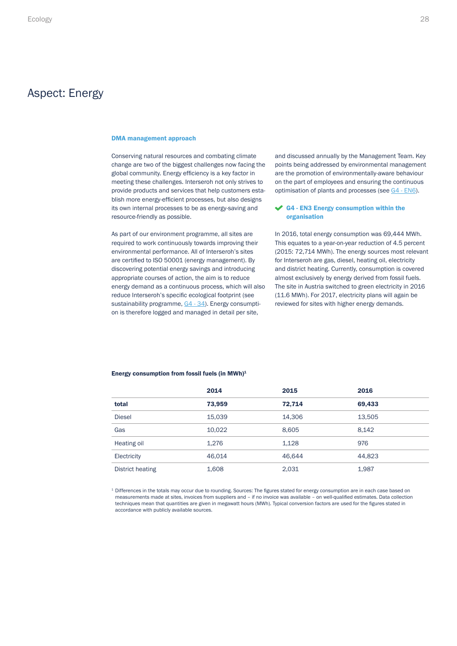### <span id="page-27-0"></span>Aspect: Energy

#### DMA management approach

Conserving natural resources and combating climate change are two of the biggest challenges now facing the global community. Energy efficiency is a key factor in meeting these challenges. Interseroh not only strives to provide products and services that help customers establish more energy-efficient processes, but also designs its own internal processes to be as energy-saving and resource-friendly as possible.

As part of our environment programme, all sites are required to work continuously towards improving their environmental performance. All of Interseroh's sites are certified to ISO 50001 (energy management). By discovering potential energy savings and introducing appropriate courses of action, the aim is to reduce energy demand as a continuous process, which will also reduce Interseroh's specific ecological footprint (see sustainability programme, [G4 - 34\)](#page-22-0). Energy consumption is therefore logged and managed in detail per site,

and discussed annually by the Management Team. Key points being addressed by environmental management are the promotion of environmentally-aware behaviour on the part of employees and ensuring the continuous optimisation of plants and processes (see [G4 - EN6\)](#page-28-0).

#### G4 - EN3 Energy consumption within the organisation

In 2016, total energy consumption was 69,444 MWh. This equates to a year-on-year reduction of 4.5 percent (2015: 72,714 MWh). The energy sources most relevant for Interseroh are gas, diesel, heating oil, electricity and district heating. Currently, consumption is covered almost exclusively by energy derived from fossil fuels. The site in Austria switched to green electricity in 2016 (11.6 MWh). For 2017, electricity plans will again be reviewed for sites with higher energy demands.

### Energy consumption from fossil fuels (in MWh)<sup>1</sup>

|                  | 2014   | 2015   | 2016   |
|------------------|--------|--------|--------|
| total            | 73,959 | 72.714 | 69,433 |
| <b>Diesel</b>    | 15,039 | 14,306 | 13,505 |
| Gas              | 10.022 | 8,605  | 8,142  |
| Heating oil      | 1.276  | 1,128  | 976    |
| Electricity      | 46.014 | 46.644 | 44,823 |
| District heating | 1,608  | 2,031  | 1,987  |

 $^{\rm 1}$  Differences in the totals may occur due to rounding. Sources: The figures stated for energy consumption are in each case based on measurements made at sites, invoices from suppliers and – if no invoice was available – on well-qualified estimates. Data collection techniques mean that quantities are given in megawatt hours (MWh). Typical conversion factors are used for the figures stated in accordance with publicly available sources.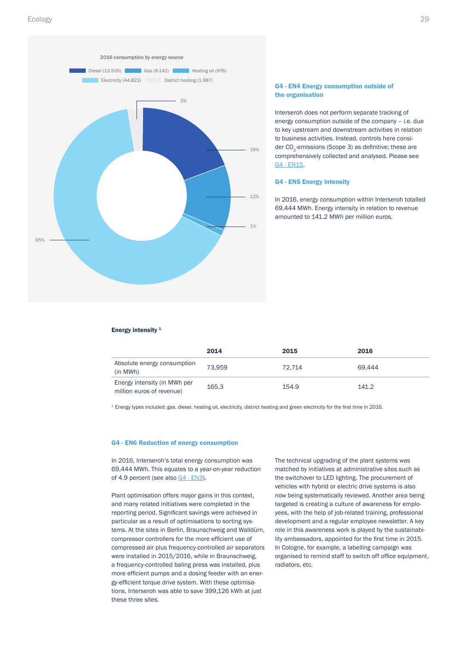<span id="page-28-0"></span>

#### G4 - EN4 Energy consumption outside of the organisation

Interseroh does not perform separate tracking of energy consumption outside of the company – i.e. due to key upstream and downstream activities in relation to business activities. Instead, controls here consider CO<sub>2</sub>-emissions (Scope 3) as definitive; these are comprehensively collected and analysed. Please see [G4 - EN15](#page-30-0).

#### G4 - EN5 Energy intensity

In 2016, energy consumption within Interseroh totalled 69,444 MWh. Energy intensity in relation to revenue amounted to 141.2 MWh per million euros.

#### Energy intensity  $1$

|                                                           | 2014   | 2015   | 2016   |
|-----------------------------------------------------------|--------|--------|--------|
| Absolute energy consumption<br>(in MWh)                   | 73.959 | 72.714 | 69.444 |
| Energy intensity (in MWh per<br>million euros of revenue) | 165.3  | 154.9  | 141.2  |

<sup>1</sup> Energy types included: gas, diesel, heating oil, electricity, district heating and green electricity for the first time in 2016.

#### G4 - EN6 Reduction of energy consumption

In 2016, Interseroh's total energy consumption was 69,444 MWh. This equates to a year-on-year reduction of 4.9 percent (see also [G4 - EN3](#page-27-0)).

Plant optimisation offers major gains in this context, and many related initiatives were completed in the reporting period. Significant savings were achieved in particular as a result of optimisations to sorting systems. At the sites in Berlin, Braunschweig and Walldürn, compressor controllers for the more efficient use of compressed air plus frequency-controlled air separators were installed in 2015/2016, while in Braunschweig, a frequency-controlled baling press was installed, plus more efficient pumps and a dosing feeder with an energy-efficient torque drive system. With these optimisations, Interseroh was able to save 399,126 kWh at just these three sites.

The technical upgrading of the plant systems was matched by initiatives at administrative sites such as the switchover to LED lighting. The procurement of vehicles with hybrid or electric drive systems is also now being systematically reviewed. Another area being targeted is creating a culture of awareness for employees, with the help of job-related training, professional development and a regular employee newsletter. A key role in this awareness work is played by the sustainability ambassadors, appointed for the first time in 2015. In Cologne, for example, a labelling campaign was organised to remind staff to switch off office equipment, radiators, etc.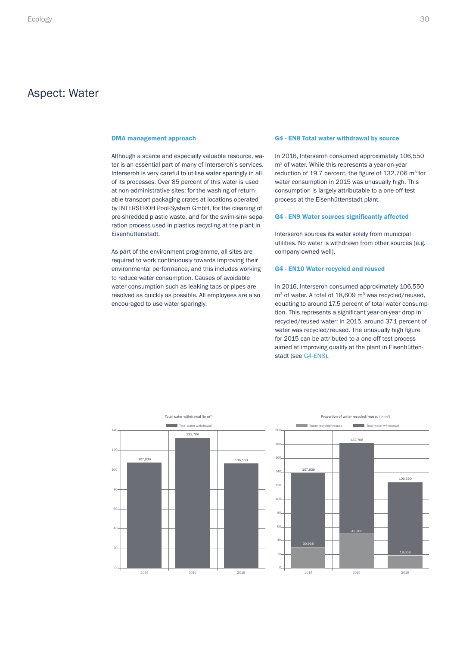### <span id="page-29-0"></span>Aspect: Water

Although a scarce and especially valuable resource, water is an essential part of many of Interseroh's services. Interseroh is very careful to utilise water sparingly in all of its processes. Over 85 percent of this water is used at non-administrative sites: for the washing of returnable transport packaging crates at locations operated by INTERSEROH Pool-System GmbH, for the cleaning of pre-shredded plastic waste, and for the swim-sink separation process used in plastics recycling at the plant in Eisenhüttenstadt.

As part of the environment programme, all sites are required to work continuously towards improving their environmental performance, and this includes working to reduce water consumption. Causes of avoidable water consumption such as leaking taps or pipes are resolved as quickly as possible. All employees are also encouraged to use water sparingly.

#### DMA management approach G4 - EN8 Total water withdrawal by source

In 2016, Interseroh consumed approximately 106,550 m<sup>3</sup> of water. While this represents a year-on-year reduction of 19.7 percent, the figure of 132,706 m<sup>3</sup> for water consumption in 2015 was unusually high. This consumption is largely attributable to a one-off test process at the Eisenhüttenstadt plant.

#### G4 - EN9 Water sources significantly affected

Interseroh sources its water solely from municipal utilities. No water is withdrawn from other sources (e.g. company-owned well).

#### G4 - EN10 Water recycled and reused

In 2016, Interseroh consumed approximately 106,550  $m<sup>3</sup>$  of water. A total of 18,609  $m<sup>3</sup>$  was recycled/reused, equating to around 17.5 percent of total water consumption. This represents a significant year-on-year drop in recycled/reused water: in 2015, around 37.1 percent of water was recycled/reused. The unusually high figure for 2015 can be attributed to a one-off test process aimed at improving quality at the plant in Eisenhüttenstadt (see G4-EN8).





106,550

18,609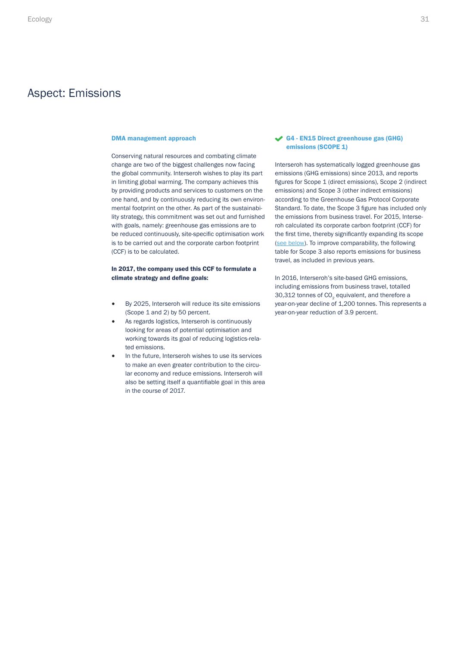### <span id="page-30-0"></span>Aspect: Emissions

Conserving natural resources and combating climate change are two of the biggest challenges now facing the global community. Interseroh wishes to play its part in limiting global warming. The company achieves this by providing products and services to customers on the one hand, and by continuously reducing its own environmental footprint on the other. As part of the sustainability strategy, this commitment was set out and furnished with goals, namely: greenhouse gas emissions are to be reduced continuously, site-specific optimisation work is to be carried out and the corporate carbon footprint (CCF) is to be calculated.

#### In 2017, the company used this CCF to formulate a climate strategy and define goals:

- By 2025, Interseroh will reduce its site emissions (Scope 1 and 2) by 50 percent.
- As regards logistics, Interseroh is continuously looking for areas of potential optimisation and working towards its goal of reducing logistics-related emissions.
- In the future, Interseroh wishes to use its services to make an even greater contribution to the circular economy and reduce emissions. Interseroh will also be setting itself a quantifiable goal in this area in the course of 2017.

#### DMA management approach G4 - EN15 Direct greenhouse gas (GHG) emissions (SCOPE 1)

<span id="page-30-1"></span>Interseroh has systematically logged greenhouse gas emissions (GHG emissions) since 2013, and reports figures for Scope 1 (direct emissions), Scope 2 (indirect emissions) and Scope 3 (other indirect emissions) according to the Greenhouse Gas Protocol Corporate Standard. To date, the Scope 3 figure has included only the emissions from business travel. For 2015, Interseroh calculated its corporate carbon footprint (CCF) for the first time, thereby significantly expanding its scope ([see below\)](#page-32-0). To improve comparability, the following table for Scope 3 also reports emissions for business travel, as included in previous years.

In 2016, Interseroh's site-based GHG emissions, including emissions from business travel, totalled 30,312 tonnes of CO<sub>2</sub> equivalent, and therefore a year-on-year decline of 1,200 tonnes. This represents a year-on-year reduction of 3.9 percent.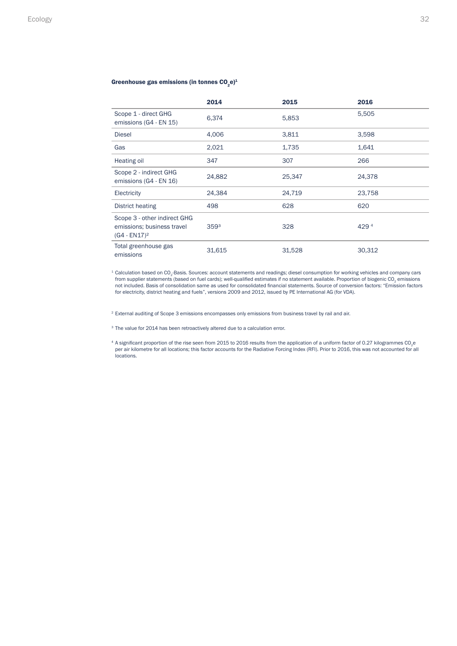#### Greenhouse gas emissions (in tonnes  $CO<sub>2</sub>e$ )<sup>1</sup>

|                                                                               | 2014             | 2015   | 2016             |
|-------------------------------------------------------------------------------|------------------|--------|------------------|
| Scope 1 - direct GHG<br>emissions (G4 - EN 15)                                | 6,374            | 5,853  | 5,505            |
| <b>Diesel</b>                                                                 | 4,006            | 3,811  | 3,598            |
| Gas                                                                           | 2,021            | 1,735  | 1,641            |
| Heating oil                                                                   | 347              | 307    | 266              |
| Scope 2 - indirect GHG<br>emissions (G4 - EN 16)                              | 24,882           | 25,347 | 24,378           |
| Electricity                                                                   | 24,384           | 24,719 | 23,758           |
| District heating                                                              | 498              | 628    | 620              |
| Scope 3 - other indirect GHG<br>emissions; business travel<br>$(G4 - EN17)^2$ | 359 <sup>3</sup> | 328    | 429 <sup>4</sup> |
| Total greenhouse gas<br>emissions                                             | 31,615           | 31,528 | 30,312           |

 $^{\rm 1}$  Calculation based on CO<sub>2</sub>-Basis. Sources: account statements and readings; diesel consumption for working vehicles and company cars from supplier statements (based on fuel cards); well-qualified estimates if no statement available. Proportion of biogenic CO<sub>2</sub> emissions not included. Basis of consolidation same as used for consolidated financial statements. Source of conversion factors: "Emission factors for electricity, district heating and fuels", versions 2009 and 2012, issued by PE International AG (for VDA).

<sup>2</sup> External auditing of Scope 3 emissions encompasses only emissions from business travel by rail and air.

<sup>3</sup> The value for 2014 has been retroactively altered due to a calculation error.

 $^4$  A significant proportion of the rise seen from 2015 to 2016 results from the application of a uniform factor of 0.27 kilogrammes CO<sub>2</sub>e per air kilometre for all locations; this factor accounts for the Radiative Forcing Index (RFI). Prior to 2016, this was not accounted for all locations.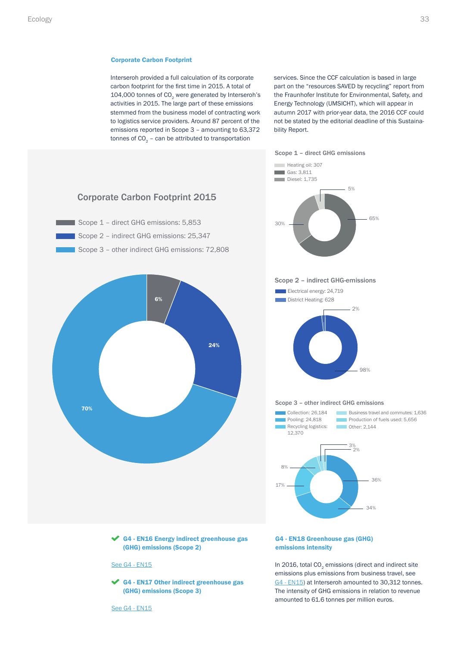#### <span id="page-32-0"></span>Corporate Carbon Footprint

Interseroh provided a full calculation of its corporate carbon footprint for the first time in 2015. A total of 104,000 tonnes of CO<sub>2</sub> were generated by Interseroh's activities in 2015. The large part of these emissions stemmed from the business model of contracting work to logistics service providers. Around 87 percent of the emissions reported in Scope 3 – amounting to 63,372 tonnes of  $CO<sub>2</sub>$  – can be attributed to transportation

services. Since the CCF calculation is based in large part on the "resources SAVED by recycling" report from the Fraunhofer Institute for Environmental, Safety, and Energy Technology (UMSICHT), which will appear in autumn 2017 with prior-year data, the 2016 CCF could not be stated by the editorial deadline of this Sustainability Report.

5%

65%

98%

2% 3%

36%

34%

 $2%$ 

Scope 1 – direct GHG emissions



 $\triangleleft$  G4 - EN16 Energy indirect greenhouse gas (GHG) emissions (Scope 2)

#### See [G4 - EN15](#page-30-0)

G4 - EN17 Other indirect greenhouse gas (GHG) emissions (Scope 3)

G4 - EN18 Greenhouse gas (GHG) emissions intensity

In 2016, total  $CO<sub>2</sub>$  emissions (direct and indirect site emissions plus emissions from business travel, see [G4 - EN15](#page-30-0)) at Interseroh amounted to 30,312 tonnes. The intensity of GHG emissions in relation to revenue amounted to 61.6 tonnes per million euros.

#### See [G4 - EN15](#page-30-0)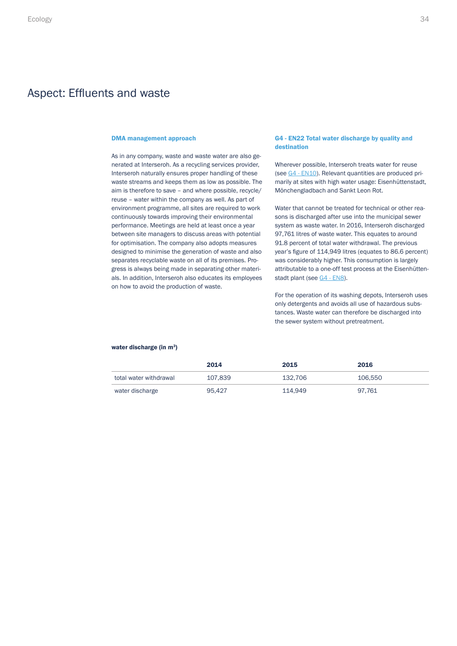### <span id="page-33-0"></span>Aspect: Effluents and waste

As in any company, waste and waste water are also generated at Interseroh. As a recycling services provider, Interseroh naturally ensures proper handling of these waste streams and keeps them as low as possible. The aim is therefore to save – and where possible, recycle/ reuse – water within the company as well. As part of environment programme, all sites are required to work continuously towards improving their environmental performance. Meetings are held at least once a year between site managers to discuss areas with potential for optimisation. The company also adopts measures designed to minimise the generation of waste and also separates recyclable waste on all of its premises. Progress is always being made in separating other materials. In addition, Interseroh also educates its employees on how to avoid the production of waste.

#### DMA management approach G4 - EN22 Total water discharge by quality and destination

Wherever possible, Interseroh treats water for reuse (see [G4 - EN10](#page-29-0)). Relevant quantities are produced primarily at sites with high water usage: Eisenhüttenstadt, Mönchengladbach and Sankt Leon Rot.

Water that cannot be treated for technical or other reasons is discharged after use into the municipal sewer system as waste water. In 2016, Interseroh discharged 97,761 litres of waste water. This equates to around 91.8 percent of total water withdrawal. The previous year's figure of 114,949 litres (equates to 86.6 percent) was considerably higher. This consumption is largely attributable to a one-off test process at the Eisenhütten-stadt plant (see [G4 - EN8](#page-29-0)).

For the operation of its washing depots, Interseroh uses only detergents and avoids all use of hazardous substances. Waste water can therefore be discharged into the sewer system without pretreatment.

#### water discharge (in m<sup>3</sup>)

|                        | 2014    | 2015    | 2016    |
|------------------------|---------|---------|---------|
| total water withdrawal | 107.839 | 132.706 | 106,550 |
| water discharge        | 95.427  | 114.949 | 97.761  |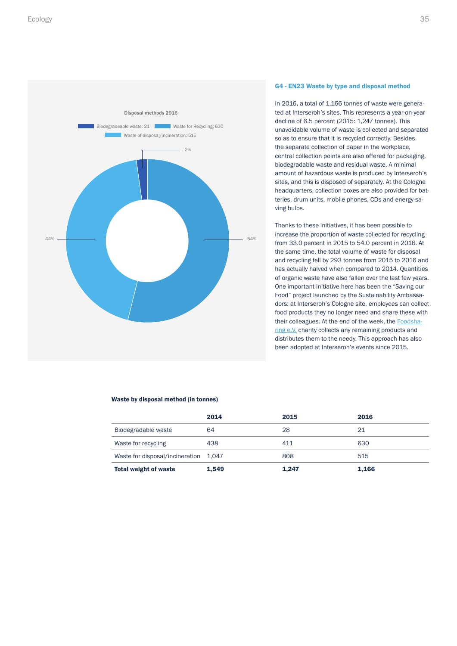<span id="page-34-0"></span>

#### G4 - EN23 Waste by type and disposal method

In 2016, a total of 1,166 tonnes of waste were generated at Interseroh's sites. This represents a year-on-year decline of 6.5 percent (2015: 1,247 tonnes). This unavoidable volume of waste is collected and separated so as to ensure that it is recycled correctly. Besides the separate collection of paper in the workplace, central collection points are also offered for packaging, biodegradable waste and residual waste. A minimal amount of hazardous waste is produced by Interseroh's sites, and this is disposed of separately. At the Cologne headquarters, collection boxes are also provided for batteries, drum units, mobile phones, CDs and energy-saving bulbs.

Thanks to these initiatives, it has been possible to increase the proportion of waste collected for recycling from 33.0 percent in 2015 to 54.0 percent in 2016. At the same time, the total volume of waste for disposal and recycling fell by 293 tonnes from 2015 to 2016 and has actually halved when compared to 2014. Quantities of organic waste have also fallen over the last few years. One important initiative here has been the "Saving our Food" project launched by the Sustainability Ambassadors: at Interseroh's Cologne site, employees can collect food products they no longer need and share these with their colleagues. At the end of the week, the [Foodsha](https://foodsharing.de/)[ring e.V.](https://foodsharing.de/) charity collects any remaining products and distributes them to the needy. This approach has also been adopted at Interseroh's events since 2015.

#### Waste by disposal method (in tonnes)

|                                       | 2014  | 2015  | 2016  |
|---------------------------------------|-------|-------|-------|
| Biodegradable waste                   | 64    | 28    | 21    |
| Waste for recycling                   | 438   | 411   | 630   |
| Waste for disposal/incineration 1,047 |       | 808   | 515   |
| <b>Total weight of waste</b>          | 1,549 | 1,247 | 1,166 |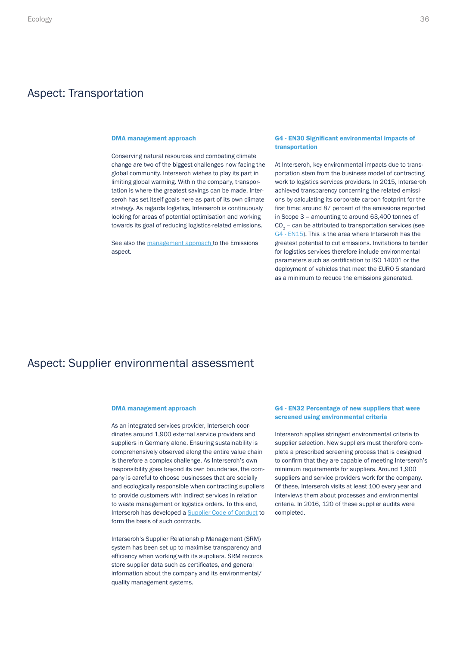### <span id="page-35-0"></span>Aspect: Transportation

#### DMA management approach

Conserving natural resources and combating climate change are two of the biggest challenges now facing the global community. Interseroh wishes to play its part in limiting global warming. Within the company, transportation is where the greatest savings can be made. Interseroh has set itself goals here as part of its own climate strategy. As regards logistics, Interseroh is continuously looking for areas of potential optimisation and working towards its goal of reducing logistics-related emissions.

See also the [management approach](#page-30-0) to the Emissions aspect.

#### G4 - EN30 Significant environmental impacts of transportation

At Interseroh, key environmental impacts due to transportation stem from the business model of contracting work to logistics services providers. In 2015, Interseroh achieved transparency concerning the related emissions by calculating its corporate carbon footprint for the first time: around 87 percent of the emissions reported in Scope 3 – amounting to around 63,400 tonnes of  $CO<sub>2</sub>$  – can be attributed to transportation services (see [G4 - EN15](#page-30-0)). This is the area where Interseroh has the greatest potential to cut emissions. Invitations to tender for logistics services therefore include environmental parameters such as certification to ISO 14001 or the deployment of vehicles that meet the EURO 5 standard as a minimum to reduce the emissions generated.

### Aspect: Supplier environmental assessment

As an integrated services provider, Interseroh coordinates around 1,900 external service providers and suppliers in Germany alone. Ensuring sustainability is comprehensively observed along the entire value chain is therefore a complex challenge. As Interseroh's own responsibility goes beyond its own boundaries, the company is careful to choose businesses that are socially and ecologically responsible when contracting suppliers to provide customers with indirect services in relation to waste management or logistics orders. To this end, Interseroh has developed a [Supplier Code of Conduct](https://www.interseroh.de/en/suppliers/#c1268) to form the basis of such contracts.

Interseroh's Supplier Relationship Management (SRM) system has been set up to maximise transparency and efficiency when working with its suppliers. SRM records store supplier data such as certificates, and general information about the company and its environmental/ quality management systems.

#### DMA management approach G4 - EN32 Percentage of new suppliers that were screened using environmental criteria

Interseroh applies stringent environmental criteria to supplier selection. New suppliers must therefore complete a prescribed screening process that is designed to confirm that they are capable of meeting Interseroh's minimum requirements for suppliers. Around 1,900 suppliers and service providers work for the company. Of these, Interseroh visits at least 100 every year and interviews them about processes and environmental criteria. In 2016, 120 of these supplier audits were completed.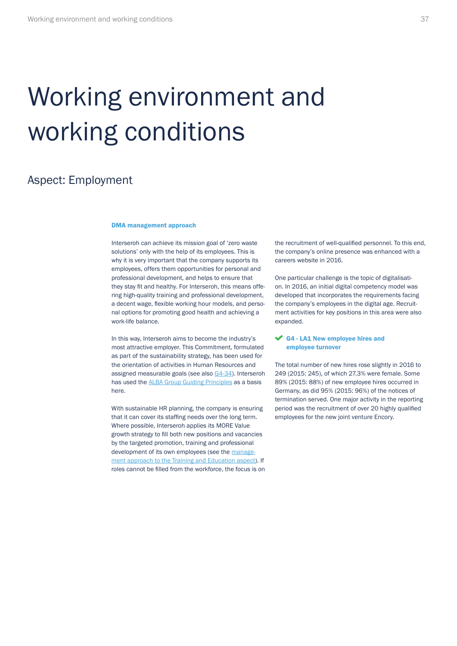# <span id="page-36-0"></span>Working environment and working conditions

# Aspect: Employment

#### DMA management approach

Interseroh can achieve its mission goal of 'zero waste solutions' only with the help of its employees. This is why it is very important that the company supports its employees, offers them opportunities for personal and professional development, and helps to ensure that they stay fit and healthy. For Interseroh, this means offering high-quality training and professional development, a decent wage, flexible working hour models, and personal options for promoting good health and achieving a work-life balance.

In this way, Interseroh aims to become the industry's most attractive employer. This Commitment, formulated as part of the sustainability strategy, has been used for the orientation of activities in Human Resources and assigned measurable goals (see also [G4-34](#page-22-0)). Interseroh has used the **ALBA Group Guiding Principles** as a basis here.

With sustainable HR planning, the company is ensuring that it can cover its staffing needs over the long term. Where possible, Interseroh applies its MORE Value growth strategy to fill both new positions and vacancies by the targeted promotion, training and professional development of its own employees (see the [manage](#page-40-0)[ment approach to the Training and Education aspect\)](#page-40-0). If roles cannot be filled from the workforce, the focus is on the recruitment of well-qualified personnel. To this end, the company's online presence was enhanced with a careers website in 2016.

One particular challenge is the topic of digitalisation. In 2016, an initial digital competency model was developed that incorporates the requirements facing the company's employees in the digital age. Recruitment activities for key positions in this area were also expanded.

#### G4 - LA1 New employee hires and employee turnover

The total number of new hires rose slightly in 2016 to 249 (2015: 245), of which 27.3% were female. Some 89% (2015: 88%) of new employee hires occurred in Germany, as did 95% (2015: 96%) of the notices of termination served. One major activity in the reporting period was the recruitment of over 20 highly qualified employees for the new joint venture Encory.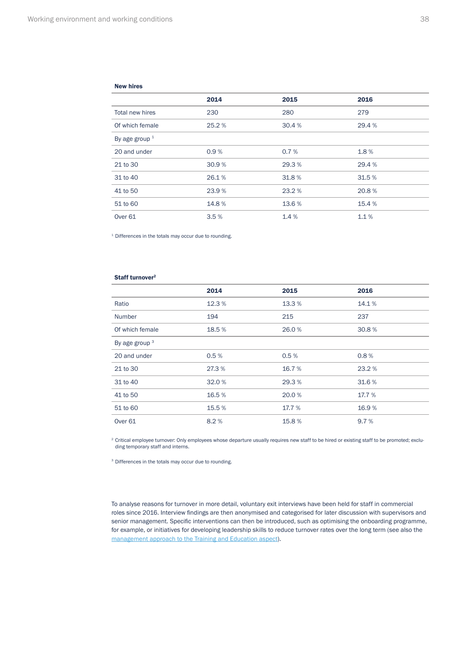#### New hires

|                    | 2014  | 2015   | 2016   |
|--------------------|-------|--------|--------|
| Total new hires    | 230   | 280    | 279    |
| Of which female    | 25.2% | 30.4 % | 29.4 % |
| By age group $1$   |       |        |        |
| 20 and under       | 0.9%  | 0.7%   | 1.8%   |
| 21 to 30           | 30.9% | 29.3%  | 29.4 % |
| 31 to 40           | 26.1% | 31.8%  | 31.5 % |
| 41 to 50           | 23.9% | 23.2%  | 20.8%  |
| 51 to 60           | 14.8% | 13.6 % | 15.4 % |
| Over <sub>61</sub> | 3.5%  | 1.4%   | 1.1%   |

<sup>1</sup> Differences in the totals may occur due to rounding.

#### Staff turnover<sup>2</sup>

|                    | 2014   | 2015   | 2016   |
|--------------------|--------|--------|--------|
| Ratio              | 12.3%  | 13.3 % | 14.1%  |
| <b>Number</b>      | 194    | 215    | 237    |
| Of which female    | 18.5%  | 26.0%  | 30.8%  |
| By age group $3$   |        |        |        |
| 20 and under       | 0.5%   | 0.5%   | 0.8%   |
| 21 to 30           | 27.3 % | 16.7 % | 23.2 % |
| 31 to 40           | 32.0%  | 29.3%  | 31.6%  |
| 41 to 50           | 16.5%  | 20.0%  | 17.7 % |
| 51 to 60           | 15.5 % | 17.7 % | 16.9%  |
| Over <sub>61</sub> | 8.2%   | 15.8%  | 9.7%   |

<sup>2</sup> Critical employee turnover: Only employees whose departure usually requires new staff to be hired or existing staff to be promoted; excluding temporary staff and interns.

<sup>3</sup> Differences in the totals may occur due to rounding.

To analyse reasons for turnover in more detail, voluntary exit interviews have been held for staff in commercial roles since 2016. Interview findings are then anonymised and categorised for later discussion with supervisors and senior management. Specific interventions can then be introduced, such as optimising the onboarding programme, for example, or initiatives for developing leadership skills to reduce turnover rates over the long term (see also the [management approach to the Training and Education aspect\)](#page-40-0).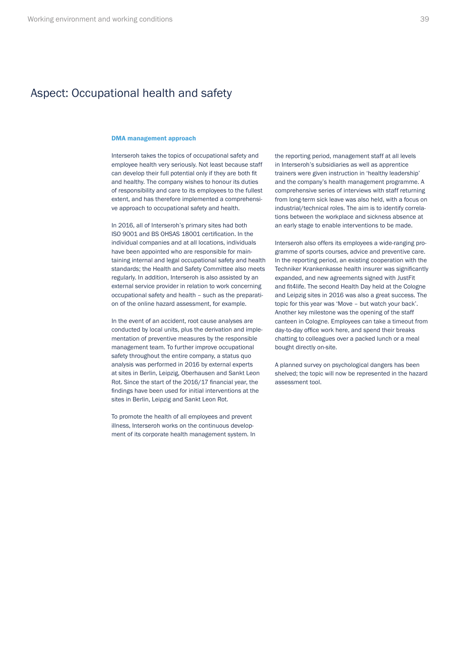# <span id="page-38-0"></span>Aspect: Occupational health and safety

#### DMA management approach

Interseroh takes the topics of occupational safety and employee health very seriously. Not least because staff can develop their full potential only if they are both fit and healthy. The company wishes to honour its duties of responsibility and care to its employees to the fullest extent, and has therefore implemented a comprehensive approach to occupational safety and health.

In 2016, all of Interseroh's primary sites had both ISO 9001 and BS OHSAS 18001 certification. In the individual companies and at all locations, individuals have been appointed who are responsible for maintaining internal and legal occupational safety and health standards; the Health and Safety Committee also meets regularly. In addition, Interseroh is also assisted by an external service provider in relation to work concerning occupational safety and health – such as the preparation of the online hazard assessment, for example.

In the event of an accident, root cause analyses are conducted by local units, plus the derivation and implementation of preventive measures by the responsible management team. To further improve occupational safety throughout the entire company, a status quo analysis was performed in 2016 by external experts at sites in Berlin, Leipzig, Oberhausen and Sankt Leon Rot. Since the start of the 2016/17 financial year, the findings have been used for initial interventions at the sites in Berlin, Leipzig and Sankt Leon Rot.

To promote the health of all employees and prevent illness, Interseroh works on the continuous development of its corporate health management system. In the reporting period, management staff at all levels in Interseroh's subsidiaries as well as apprentice trainers were given instruction in 'healthy leadership' and the company's health management programme. A comprehensive series of interviews with staff returning from long-term sick leave was also held, with a focus on industrial/technical roles. The aim is to identify correlations between the workplace and sickness absence at an early stage to enable interventions to be made.

Interseroh also offers its employees a wide-ranging programme of sports courses, advice and preventive care. In the reporting period, an existing cooperation with the Techniker Krankenkasse health insurer was significantly expanded, and new agreements signed with JustFit and fit4life. The second Health Day held at the Cologne and Leipzig sites in 2016 was also a great success. The topic for this year was 'Move – but watch your back'. Another key milestone was the opening of the staff canteen in Cologne. Employees can take a timeout from day-to-day office work here, and spend their breaks chatting to colleagues over a packed lunch or a meal bought directly on-site.

A planned survey on psychological dangers has been shelved; the topic will now be represented in the hazard assessment tool.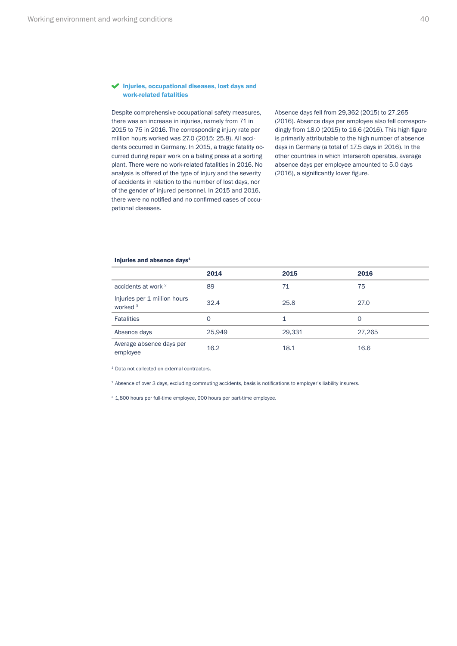#### <span id="page-39-0"></span>Injuries, occupational diseases, lost days and work-related fatalities

Despite comprehensive occupational safety measures, there was an increase in injuries, namely from 71 in 2015 to 75 in 2016. The corresponding injury rate per million hours worked was 27.0 (2015: 25.8). All accidents occurred in Germany. In 2015, a tragic fatality occurred during repair work on a baling press at a sorting plant. There were no work-related fatalities in 2016. No analysis is offered of the type of injury and the severity of accidents in relation to the number of lost days, nor of the gender of injured personnel. In 2015 and 2016, there were no notified and no confirmed cases of occupational diseases.

Absence days fell from 29,362 (2015) to 27,265 (2016). Absence days per employee also fell correspondingly from 18.0 (2015) to 16.6 (2016). This high figure is primarily attributable to the high number of absence days in Germany (a total of 17.5 days in 2016). In the other countries in which Interseroh operates, average absence days per employee amounted to 5.0 days (2016), a significantly lower figure.

#### Injuries and absence days<sup>1</sup>

|                                                     | 2014   | 2015   | 2016   |
|-----------------------------------------------------|--------|--------|--------|
| accidents at work <sup>2</sup>                      | 89     | 71     | 75     |
| Injuries per 1 million hours<br>worked <sup>3</sup> | 32.4   | 25.8   | 27.0   |
| <b>Fatalities</b>                                   | 0      | 1      | 0      |
| Absence days                                        | 25,949 | 29,331 | 27,265 |
| Average absence days per<br>employee                | 16.2   | 18.1   | 16.6   |

1 Data not collected on external contractors.

<sup>2</sup> Absence of over 3 days, excluding commuting accidents, basis is notifications to employer's liability insurers.

<sup>3</sup> 1,800 hours per full-time employee, 900 hours per part-time employee.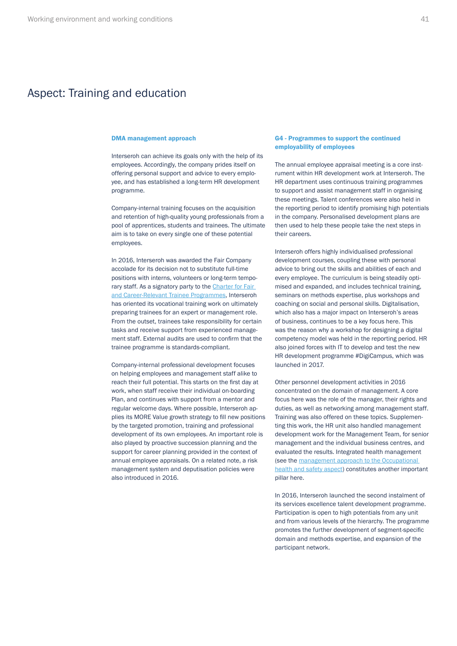### <span id="page-40-0"></span>Aspect: Training and education

Interseroh can achieve its goals only with the help of its employees. Accordingly, the company prides itself on offering personal support and advice to every employee, and has established a long-term HR development programme.

Company-internal training focuses on the acquisition and retention of high-quality young professionals from a pool of apprentices, students and trainees. The ultimate aim is to take on every single one of these potential employees.

In 2016, Interseroh was awarded the Fair Company accolade for its decision not to substitute full-time positions with interns, volunteers or long-term temporary staff. As a signatory party to the [Charter for Fair](https://www.absolventa.de/trainee-auszeichnung)  [and Career-Relevant Trainee Programmes,](https://www.absolventa.de/trainee-auszeichnung) Interseroh has oriented its vocational training work on ultimately preparing trainees for an expert or management role. From the outset, trainees take responsibility for certain tasks and receive support from experienced management staff. External audits are used to confirm that the trainee programme is standards-compliant.

Company-internal professional development focuses on helping employees and management staff alike to reach their full potential. This starts on the first day at work, when staff receive their individual on-boarding Plan, and continues with support from a mentor and regular welcome days. Where possible, Interseroh applies its MORE Value growth strategy to fill new positions by the targeted promotion, training and professional development of its own employees. An important role is also played by proactive succession planning and the support for career planning provided in the context of annual employee appraisals. On a related note, a risk management system and deputisation policies were also introduced in 2016.

#### DMA management approach G4 - Programmes to support the continued employability of employees

The annual employee appraisal meeting is a core instrument within HR development work at Interseroh. The HR department uses continuous training programmes to support and assist management staff in organising these meetings. Talent conferences were also held in the reporting period to identify promising high potentials in the company. Personalised development plans are then used to help these people take the next steps in their careers.

Interseroh offers highly individualised professional development courses, coupling these with personal advice to bring out the skills and abilities of each and every employee. The curriculum is being steadily optimised and expanded, and includes technical training, seminars on methods expertise, plus workshops and coaching on social and personal skills. Digitalisation, which also has a major impact on Interseroh's areas of business, continues to be a key focus here. This was the reason why a workshop for designing a digital competency model was held in the reporting period. HR also joined forces with IT to develop and test the new HR development programme #DigiCampus, which was launched in 2017.

Other personnel development activities in 2016 concentrated on the domain of management. A core focus here was the role of the manager, their rights and duties, as well as networking among management staff. Training was also offered on these topics. Supplementing this work, the HR unit also handled management development work for the Management Team, for senior management and the individual business centres, and evaluated the results. Integrated health management (see the [management approach to the Occupational](#page-38-0)  [health and safety aspect](#page-38-0)) constitutes another important pillar here.

In 2016, Interseroh launched the second instalment of its services excellence talent development programme. Participation is open to high potentials from any unit and from various levels of the hierarchy. The programme promotes the further development of segment-specific domain and methods expertise, and expansion of the participant network.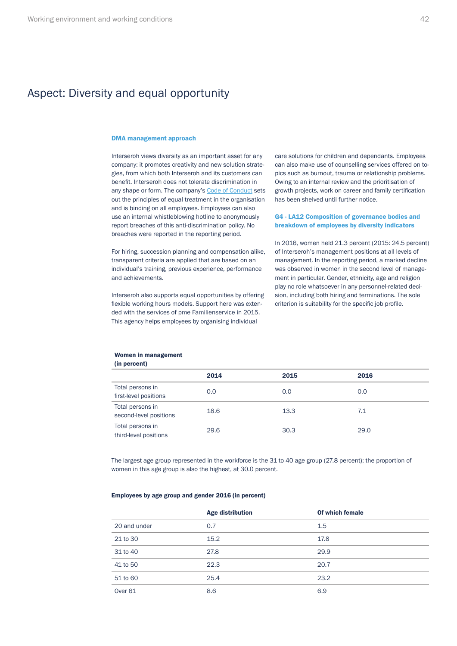# <span id="page-41-0"></span>Aspect: Diversity and equal opportunity

#### DMA management approach

Interseroh views diversity as an important asset for any company: it promotes creativity and new solution strategies, from which both Interseroh and its customers can benefit. Interseroh does not tolerate discrimination in any shape or form. The company's [Code of Conduct](https://www.interseroh.de/en/suppliers/#c1268) sets out the principles of equal treatment in the organisation and is binding on all employees. Employees can also use an internal whistleblowing hotline to anonymously report breaches of this anti-discrimination policy. No breaches were reported in the reporting period.

For hiring, succession planning and compensation alike, transparent criteria are applied that are based on an individual's training, previous experience, performance and achievements.

Interseroh also supports equal opportunities by offering flexible working hours models. Support here was extended with the services of pme Familienservice in 2015. This agency helps employees by organising individual

care solutions for children and dependants. Employees can also make use of counselling services offered on topics such as burnout, trauma or relationship problems. Owing to an internal review and the prioritisation of growth projects, work on career and family certification has been shelved until further notice.

#### G4 - LA12 Composition of governance bodies and breakdown of employees by diversity indicators

In 2016, women held 21.3 percent (2015: 24.5 percent) of Interseroh's management positions at all levels of management. In the reporting period, a marked decline was observed in women in the second level of management in particular. Gender, ethnicity, age and religion play no role whatsoever in any personnel-related decision, including both hiring and terminations. The sole criterion is suitability for the specific job profile.

#### Women in management (in percent)

|                                            | 2014 | 2015 | 2016 |  |
|--------------------------------------------|------|------|------|--|
| Total persons in<br>first-level positions  | 0.0  | 0.0  | 0.0  |  |
| Total persons in<br>second-level positions | 18.6 | 13.3 | 7.1  |  |
| Total persons in<br>third-level positions  | 29.6 | 30.3 | 29.0 |  |

The largest age group represented in the workforce is the 31 to 40 age group (27.8 percent); the proportion of women in this age group is also the highest, at 30.0 percent.

#### Employees by age group and gender 2016 (in percent)

|                    | <b>Age distribution</b> | Of which female |
|--------------------|-------------------------|-----------------|
| 20 and under       | 0.7                     | 1.5             |
| 21 to 30           | 15.2                    | 17.8            |
| 31 to 40           | 27.8                    | 29.9            |
| 41 to 50           | 22.3                    | 20.7            |
| 51 to 60           | 25.4                    | 23.2            |
| Over <sub>61</sub> | 8.6                     | 6.9             |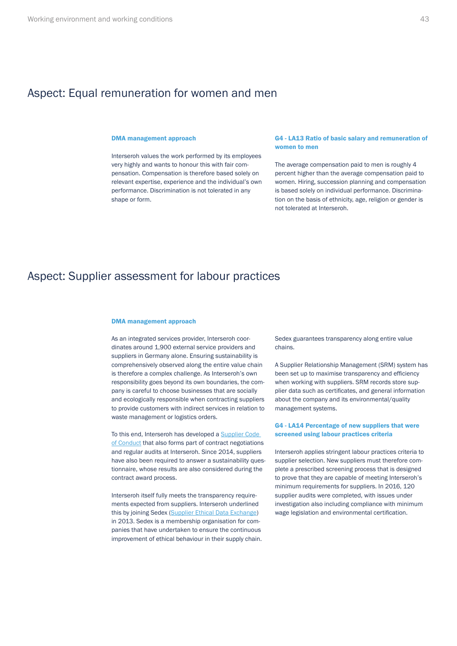### <span id="page-42-0"></span>Aspect: Equal remuneration for women and men

Interseroh values the work performed by its employees very highly and wants to honour this with fair compensation. Compensation is therefore based solely on relevant expertise, experience and the individual's own performance. Discrimination is not tolerated in any shape or form.

#### DMA management approach G4 - LA13 Ratio of basic salary and remuneration of women to men

The average compensation paid to men is roughly 4 percent higher than the average compensation paid to women. Hiring, succession planning and compensation is based solely on individual performance. Discrimination on the basis of ethnicity, age, religion or gender is not tolerated at Interseroh.

### Aspect: Supplier assessment for labour practices

#### DMA management approach

As an integrated services provider, Interseroh coordinates around 1,900 external service providers and suppliers in Germany alone. Ensuring sustainability is comprehensively observed along the entire value chain is therefore a complex challenge. As Interseroh's own responsibility goes beyond its own boundaries, the company is careful to choose businesses that are socially and ecologically responsible when contracting suppliers to provide customers with indirect services in relation to waste management or logistics orders.

To this end, Interseroh has developed a [Supplier Code](https://www.interseroh.de/en/suppliers/#c1268)  [of Conduct](https://www.interseroh.de/en/suppliers/#c1268) that also forms part of contract negotiations and regular audits at Interseroh. Since 2014, suppliers have also been required to answer a sustainability questionnaire, whose results are also considered during the contract award process.

Interseroh itself fully meets the transparency requirements expected from suppliers. Interseroh underlined this by joining Sedex ([Supplier Ethical Data Exchange](https://www.sedexglobal.com/)) in 2013. Sedex is a membership organisation for companies that have undertaken to ensure the continuous improvement of ethical behaviour in their supply chain. Sedex guarantees transparency along entire value chains.

A Supplier Relationship Management (SRM) system has been set up to maximise transparency and efficiency when working with suppliers. SRM records store supplier data such as certificates, and general information about the company and its environmental/quality management systems.

#### G4 - LA14 Percentage of new suppliers that were screened using labour practices criteria

Interseroh applies stringent labour practices criteria to supplier selection. New suppliers must therefore complete a prescribed screening process that is designed to prove that they are capable of meeting Interseroh's minimum requirements for suppliers. In 2016, 120 supplier audits were completed, with issues under investigation also including compliance with minimum wage legislation and environmental certification.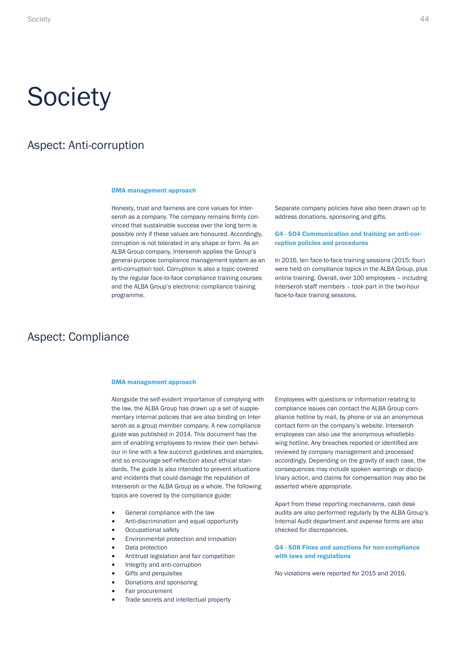# <span id="page-43-0"></span>**Society**

### Aspect: Anti-corruption

#### DMA management approach

Honesty, trust and fairness are core values for Interseroh as a company. The company remains firmly convinced that sustainable success over the long term is possible only if these values are honoured. Accordingly, corruption is not tolerated in any shape or form. As an ALBA Group company, Interseroh applies the Group's general-purpose compliance management system as an anti-corruption tool. Corruption is also a topic covered by the regular face-to-face compliance training courses and the ALBA Group's electronic compliance training programme.

Separate company policies have also been drawn up to address donations, sponsoring and gifts.

#### G4 - SO4 Communication and training on anti-corruption policies and procedures

In 2016, ten face-to-face training sessions (2015: four) were held on compliance topics in the ALBA Group, plus online training. Overall, over 100 employees – including Interseroh staff members – took part in the two-hour face-to-face training sessions.

### Aspect: Compliance

#### DMA management approach

Alongside the self-evident importance of complying with the law, the ALBA Group has drawn up a set of supplementary internal policies that are also binding on Interseroh as a group member company. A new compliance guide was published in 2014. This document has the aim of enabling employees to review their own behaviour in line with a few succinct guidelines and examples, and so encourage self-reflection about ethical standards. The guide is also intended to prevent situations and incidents that could damage the reputation of Interseroh or the ALBA Group as a whole. The following topics are covered by the compliance guide:

- General compliance with the law
- Anti-discrimination and equal opportunity
- Occupational safety
- Environmental protection and innovation
- Data protection
- Antitrust legislation and fair competition
- Integrity and anti-corruption
- Gifts and perquisites
- Donations and sponsoring
- Fair procurement
- Trade secrets and intellectual property

Employees with questions or information relating to compliance issues can contact the ALBA Group compliance hotline by mail, by phone or via an anonymous contact form on the company's website. Interseroh employees can also use the anonymous whistleblowing hotline. Any breaches reported or identified are reviewed by company management and processed accordingly. Depending on the gravity of each case, the consequences may include spoken warnings or disciplinary action, and claims for compensation may also be asserted where appropriate.

Apart from these reporting mechanisms, cash desk audits are also performed regularly by the ALBA Group's Internal Audit department and expense forms are also checked for discrepancies.

#### G4 - SO8 Fines and sanctions for non-compliance with laws and regulations

No violations were reported for 2015 and 2016.